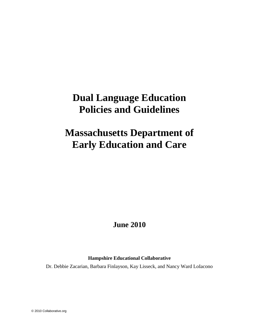# **Dual Language Education Policies and Guidelines**

# **Massachusetts Department of Early Education and Care**

## **June 2010**

## **Hampshire Educational Collaborative**

Dr. Debbie Zacarian, Barbara Finlayson, Kay Lisseck, and Nancy Ward LoIacono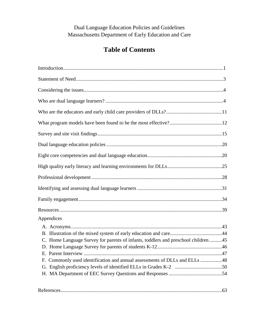Dual Language Education Policies and Guidelines Massachusetts Department of Early Education and Care

## **Table of Contents**

| Appendices                                                                         |  |
|------------------------------------------------------------------------------------|--|
|                                                                                    |  |
|                                                                                    |  |
| C. Home Language Survey for parents of infants, toddlers and preschool children 45 |  |
|                                                                                    |  |
|                                                                                    |  |
| F. Commonly used identification and annual assessments of DLLs and ELLs 48         |  |
|                                                                                    |  |
|                                                                                    |  |
|                                                                                    |  |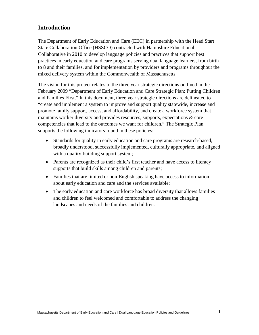## **Introduction**

The Department of Early Education and Care (EEC) in partnership with the Head Start State Collaboration Office (HSSCO) contracted with Hampshire Educational Collaborative in 2010 to develop language policies and practices that support best practices in early education and care programs serving dual language learners, from birth to 8 and their families, and for implementation by providers and programs throughout the mixed delivery system within the Commonwealth of Massachusetts.

The vision for this project relates to the three year strategic directions outlined in the February 2009 "Department of Early Education and Care Strategic Plan: Putting Children and Families First." In this document, three year strategic directions are delineated to "create and implement a system to improve and support quality statewide, increase and promote family support, access, and affordability, and create a workforce system that maintains worker diversity and provides resources, supports, expectations & core competencies that lead to the outcomes we want for children." The Strategic Plan supports the following indicators found in these policies:

- Standards for quality in early education and care programs are research-based, broadly understood, successfully implemented, culturally appropriate, and aligned with a quality-building support system;
- Parents are recognized as their child's first teacher and have access to literacy supports that build skills among children and parents;
- Families that are limited or non-English speaking have access to information about early education and care and the services available;
- The early education and care workforce has broad diversity that allows families and children to feel welcomed and comfortable to address the changing landscapes and needs of the families and children.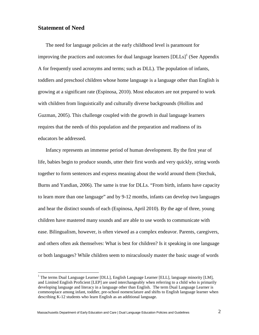## **Statement of Need**

The need for language policies at the early childhood level is paramount for improving the practices and outcomes for dual language learners  $[DLLs]$ <sup>1</sup> (See Appendix A for frequently used acronyms and terms; such as DLL). The population of infants, toddlers and preschool children whose home language is a language other than English is growing at a significant rate (Espinosa, 2010). Most educators are not prepared to work with children from linguistically and culturally diverse backgrounds (Hollins and Guzman, 2005). This challenge coupled with the growth in dual language learners requires that the needs of this population and the preparation and readiness of its educators be addressed.

Infancy represents an immense period of human development. By the first year of life, babies begin to produce sounds, utter their first words and very quickly, string words together to form sentences and express meaning about the world around them (Stechuk, Burns and Yandian, 2006). The same is true for DLLs. "From birth, infants have capacity to learn more than one language" and by 9-12 months, infants can develop two languages and hear the distinct sounds of each (Espinosa, April 2010). By the age of three, young children have mastered many sounds and are able to use words to communicate with ease. Bilingualism, however, is often viewed as a complex endeavor. Parents, caregivers, and others often ask themselves: What is best for children? Is it speaking in one language or both languages? While children seem to miraculously master the basic usage of words

<sup>&</sup>lt;sup>1</sup> The terms Dual Language Learner [DLL], English Language Learner [ELL], language minority [LM], and Limited English Proficient [LEP] are used interchangeably when referring to a child who is primarily developing language and literacy in a language other than English. The term Dual Language Learner is commonplace among infant, toddler, pre-school nomenclature and shifts to English language learner when describing K-12 students who learn English as an additional language.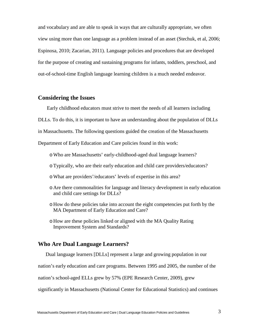and vocabulary and are able to speak in ways that are culturally appropriate, we often view using more than one language as a problem instead of an asset (Stechuk, et al, 2006; Espinosa, 2010; Zacarian, 2011). Language policies and procedures that are developed for the purpose of creating and sustaining programs for infants, toddlers, preschool, and out-of-school-time English language learning children is a much needed endeavor.

## **Considering the Issues**

Early childhood educators must strive to meet the needs of all learners including

DLLs. To do this, it is important to have an understanding about the population of DLLs

in Massachusetts. The following questions guided the creation of the Massachusetts

Department of Early Education and Care policies found in this work:

- oWho are Massachusetts' early-childhood-aged dual language learners?
- oTypically, who are their early education and child care providers/educators?
- oWhat are providers'/educators' levels of expertise in this area?
- o Are there commonalities for language and literacy development in early education and child care settings for DLLs?
- o How do these policies take into account the eight competencies put forth by the MA Department of Early Education and Care?
- o How are these policies linked or aligned with the MA Quality Rating Improvement System and Standards?

## **Who Are Dual Language Learners?**

Dual language learners [DLLs] represent a large and growing population in our

nation's early education and care programs. Between 1995 and 2005, the number of the

nation's school-aged ELLs grew by 57% (EPE Research Center, 2009), grew

significantly in Massachusetts (National Center for Educational Statistics) and continues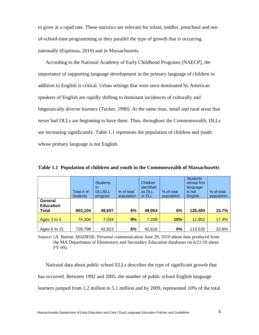to grow at a rapid rate. These statistics are relevant for infant, toddler, preschool and outof-school-time programming as they parallel the type of growth that is occurring nationally (Espinosa, 2010) and in Massachusetts.

According to the National Academy of Early Childhood Programs [NAECP], the importance of supporting language development in the primary language of children in addition to English is critical. Urban settings that were once dominated by American speakers of English are rapidly shifting to dominant incidences of culturally and linguistically diverse learners (Tucker, 1990). At the same time, small and rural areas that never had DLLs are beginning to have them. Thus, throughout the Commonwealth, DLLs are increasing significantly. Table 1.1 represents the population of children and youth whose primary language is not English.

|                                      | Total # of<br>students | <b>Students</b><br>in<br><b>DLL/ELL</b><br>program | % of total<br>population | <b>Children</b><br>identified<br>as DLL<br>or ELL | % of total<br>population | <b>Students</b><br>whose first<br>language<br>is not<br><b>English</b> | % of total<br>population |
|--------------------------------------|------------------------|----------------------------------------------------|--------------------------|---------------------------------------------------|--------------------------|------------------------------------------------------------------------|--------------------------|
| General<br><b>Education</b><br>Total | 803,104                | 49,657                                             | 6%                       | 49,954                                            | 6%                       | 126,484                                                                | 15.7%                    |
| Ages 3 to 5                          | 74,306                 | 7,034                                              | 9%                       | 7,338                                             | <b>10%</b>               | 12,952                                                                 | 17.4%                    |
| Ages 6 to 21                         | 728,798                | 42,623                                             | 6%                       | 42,616                                            | 6%                       | 113,532                                                                | 15.6%                    |

**Table 1.1 Population of children and youth in the Commonwealth of Massachusetts**

Source: (A. Barton, MADESE. Personal communication June 29, 2010 about data produced from the MA Department of Elementary and Secondary Education databases on 6/21/10 about FY 09).

National data about public school ELLs describes the type of significant growth that has occurred. Between 1992 and 2005, the number of public school English language learners jumped from 1.2 million to 5.1 million and by 2009, represented 10% of the total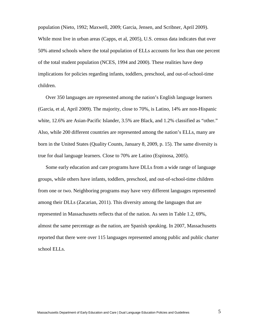population (Nieto, 1992; Maxwell, 2009; Garcia, Jensen, and Scribner, April 2009). While most live in urban areas (Capps, et al, 2005), U.S. census data indicates that over 50% attend schools where the total population of ELLs accounts for less than one percent of the total student population (NCES, 1994 and 2000). These realities have deep implications for policies regarding infants, toddlers, preschool, and out-of-school-time children.

Over 350 languages are represented among the nation's English language learners (Garcia, et al, April 2009). The majority, close to 70%, is Latino, 14% are non-Hispanic white, 12.6% are Asian-Pacific Islander, 3.5% are Black, and 1.2% classified as "other." Also, while 200 different countries are represented among the nation's ELLs, many are born in the United States (Quality Counts, January 8, 2009, p. 15). The same diversity is true for dual language learners. Close to 70% are Latino (Espinosa, 2005).

Some early education and care programs have DLLs from a wide range of language groups, while others have infants, toddlers, preschool, and out-of-school-time children from one or two. Neighboring programs may have very different languages represented among their DLLs (Zacarian, 2011). This diversity among the languages that are represented in Massachusetts reflects that of the nation. As seen in Table 1.2, 69%, almost the same percentage as the nation, are Spanish speaking. In 2007, Massachusetts reported that there were over 115 languages represented among public and public charter school ELLs.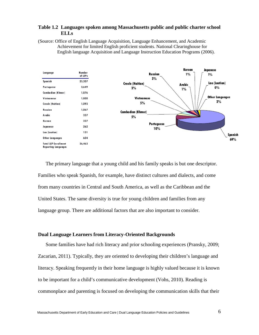#### **Table 1.2 Languages spoken among Massachusetts public and public charter school ELLs**

(Source: Office of English Language Acquisition, Language Enhancement, and Academic Achievement for limited English proficient students. National Clearinghouse for English language Acquisition and Language Instruction Education Programs (2006).



The primary language that a young child and his family speaks is but one descriptor. Families who speak Spanish, for example, have distinct cultures and dialects, and come from many countries in Central and South America, as well as the Caribbean and the United States. The same diversity is true for young children and families from any language group. There are additional factors that are also important to consider.

#### **Dual Language Learners from Literacy-Oriented Backgrounds**

Some families have had rich literacy and prior schooling experiences (Pransky, 2009; Zacarian, 2011). Typically, they are oriented to developing their children's language and literacy. Speaking frequently in their home language is highly valued because it is known to be important for a child's communicative development (Vohs, 2010). Reading is commonplace and parenting is focused on developing the communication skills that their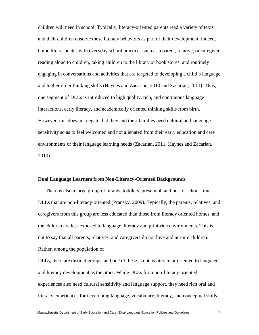children will need in school. Typically, literacy-oriented parents read a variety of texts and their children observe these literacy behaviors as part of their development. Indeed, home life resonates with everyday school practices such as a parent, relative, or caregiver reading aloud to children, taking children to the library or book stores, and routinely engaging in conversations and activities that are targeted to developing a child's language and higher order thinking skills (Haynes and Zacarian, 2010 and Zacarian, 2011). Thus, one segment of DLLs is introduced to high quality, rich, and continuous language interactions, early literacy, and academically oriented thinking skills from birth. However, this does not negate that they and their families need cultural and language sensitivity so as to feel welcomed and not alienated from their early education and care environments or their language learning needs (Zacarian, 2011; Haynes and Zacarian, 2010).

#### **Dual Language Learners from Non-Literacy-Oriented Backgrounds**

There is also a large group of infants, toddlers, preschool, and out-of-school-time DLLs that are non-literacy-oriented (Pransky, 2009). Typically, the parents, relatives, and caregivers from this group are less educated than those from literacy oriented homes, and the children are less exposed to language, literacy and print-rich environments. This is not to say that all parents, relatives, and caregivers do not love and nurture children. Rather, among the population of

DLLs, there are distinct groups, and one of these is not as literate or oriented to language and literacy development as the other. While DLLs from non-literacy-oriented experiences also need cultural sensitivity and language support, they need rich oral and literacy experiences for developing language, vocabulary, literacy, and conceptual skills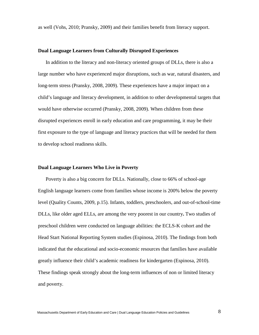as well (Vohs, 2010; Pransky, 2009) and their families benefit from literacy support.

#### **Dual Language Learners from Culturally Disrupted Experiences**

In addition to the literacy and non-literacy oriented groups of DLLs, there is also a large number who have experienced major disruptions, such as war, natural disasters, and long-term stress (Pransky, 2008, 2009). These experiences have a major impact on a child's language and literacy development, in addition to other developmental targets that would have otherwise occurred (Pransky, 2008, 2009). When children from these disrupted experiences enroll in early education and care programming, it may be their first exposure to the type of language and literacy practices that will be needed for them to develop school readiness skills.

#### **Dual Language Learners Who Live in Poverty**

Poverty is also a big concern for DLLs. Nationally, close to 66% of school-age English language learners come from families whose income is 200% below the poverty level (Quality Counts, 2009, p.15). Infants, toddlers, preschoolers, and out-of-school-time DLLs, like older aged ELLs, are among the very poorest in our country**.** Two studies of preschool children were conducted on language abilities: the ECLS-K cohort and the Head Start National Reporting System studies (Espinosa, 2010). The findings from both indicated that the educational and socio-economic resources that families have available greatly influence their child's academic readiness for kindergarten (Espinosa, 2010). These findings speak strongly about the long-term influences of non or limited literacy and poverty.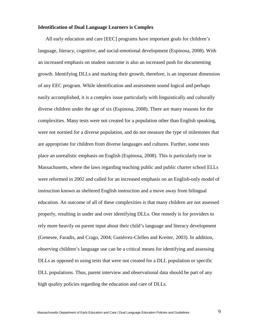#### **Identification of Dual Language Learners is Complex**

All early education and care [EEC] programs have important goals for children's language, literacy, cognitive, and social-emotional development (Espinosa, 2008). With an increased emphasis on student outcome is also an increased push for documenting growth. Identifying DLLs and marking their growth, therefore, is an important dimension of any EEC program. While identification and assessment sound logical and perhaps easily accomplished, it is a complex issue particularly with linguistically and culturally diverse children under the age of six (Espinosa, 2008). There are many reasons for the complexities. Many tests were not created for a population other than English speaking, were not normed for a diverse population, and do not measure the type of milestones that are appropriate for children from diverse languages and cultures. Further, some tests place an unrealistic emphasis on English (Espinosa, 2008). This is particularly true in Massachusetts, where the laws regarding teaching public and public charter school ELLs were reformed in 2002 and called for an increased emphasis on an English-only model of instruction known as sheltered English instruction and a move away from bilingual education. An outcome of all of these complexities is that many children are not assessed properly, resulting in under and over identifying DLLs. One remedy is for providers to rely more heavily on parent input about their child's language and literacy development (Genesee, Faradis, and Crago, 2004; Gutiérrez-Clellen and Kreiter, 2003). In addition, observing children's language use can be a critical means for identifying and assessing DLLs as opposed to using tests that were not created for a DLL population or specific DLL populations. Thus, parent interview and observational data should be part of any high quality policies regarding the education and care of DLLs.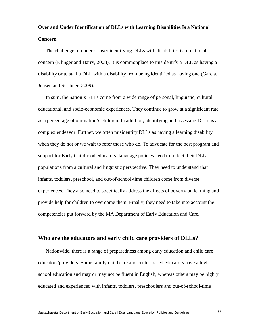## **Over and Under Identification of DLLs with Learning Disabilities Is a National Concern**

The challenge of under or over identifying DLLs with disabilities is of national concern (Klinger and Harry, 2008). It is commonplace to misidentify a DLL as having a disability or to stall a DLL with a disability from being identified as having one (Garcia, Jensen and Scribner, 2009).

In sum, the nation's ELLs come from a wide range of personal, linguistic, cultural, educational, and socio-economic experiences. They continue to grow at a significant rate as a percentage of our nation's children. In addition, identifying and assessing DLLs is a complex endeavor. Further, we often misidentify DLLs as having a learning disability when they do not or we wait to refer those who do. To advocate for the best program and support for Early Childhood educators, language policies need to reflect their DLL populations from a cultural and linguistic perspective. They need to understand that infants, toddlers, preschool, and out-of-school-time children come from diverse experiences. They also need to specifically address the affects of poverty on learning and provide help for children to overcome them. Finally, they need to take into account the competencies put forward by the MA Department of Early Education and Care.

## **Who are the educators and early child care providers of DLLs?**

Nationwide, there is a range of preparedness among early education and child care educators/providers. Some family child care and center-based educators have a high school education and may or may not be fluent in English, whereas others may be highly educated and experienced with infants, toddlers, preschoolers and out-of-school-time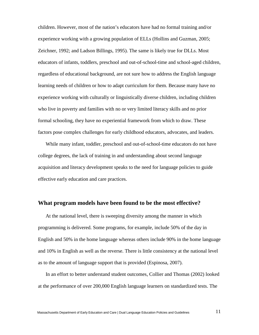children. However, most of the nation's educators have had no formal training and/or experience working with a growing population of ELLs (Hollins and Guzman, 2005; Zeichner, 1992; and Ladson Billings, 1995). The same is likely true for DLLs. Most educators of infants, toddlers, preschool and out-of-school-time and school-aged children, regardless of educational background, are not sure how to address the English language learning needs of children or how to adapt curriculum for them. Because many have no experience working with culturally or linguistically diverse children, including children who live in poverty and families with no or very limited literacy skills and no prior formal schooling, they have no experiential framework from which to draw. These factors pose complex challenges for early childhood educators, advocates, and leaders.

While many infant, toddler, preschool and out-of-school-time educators do not have college degrees, the lack of training in and understanding about second language acquisition and literacy development speaks to the need for language policies to guide effective early education and care practices.

## **What program models have been found to be the most effective?**

At the national level, there is sweeping diversity among the manner in which programming is delivered. Some programs, for example, include 50% of the day in English and 50% in the home language whereas others include 90% in the home language and 10% in English as well as the reverse. There is little consistency at the national level as to the amount of language support that is provided (Espinosa, 2007).

In an effort to better understand student outcomes, Collier and Thomas (2002) looked at the performance of over 200,000 English language learners on standardized tests. The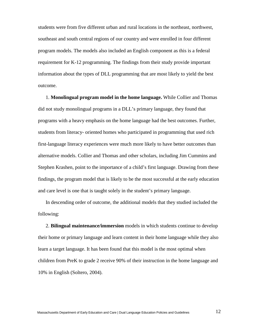students were from five different urban and rural locations in the northeast, northwest, southeast and south central regions of our country and were enrolled in four different program models. The models also included an English component as this is a federal requirement for K-12 programming. The findings from their study provide important information about the types of DLL programming that are most likely to yield the best outcome.

1. **Monolingual program model in the home language.** While Collier and Thomas did not study monolingual programs in a DLL's primary language, they found that programs with a heavy emphasis on the home language had the best outcomes. Further, students from literacy- oriented homes who participated in programming that used rich first-language literacy experiences were much more likely to have better outcomes than alternative models. Collier and Thomas and other scholars, including Jim Cummins and Stephen Krashen, point to the importance of a child's first language. Drawing from these findings, the program model that is likely to be the most successful at the early education and care level is one that is taught solely in the student's primary language.

In descending order of outcome, the additional models that they studied included the following:

2. **Bilingual maintenance/immersion** models in which students continue to develop their home or primary language and learn content in their home language while they also learn a target language. It has been found that this model is the most optimal when children from PreK to grade 2 receive 90% of their instruction in the home language and 10% in English (Soltero, 2004).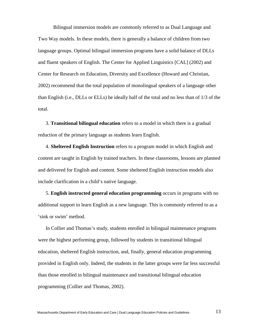Bilingual immersion models are commonly referred to as Dual Language and Two Way models. In these models, there is generally a balance of children from two language groups. Optimal bilingual immersion programs have a solid balance of DLLs and fluent speakers of English. The Center for Applied Linguistics [CAL] (2002) and Center for Research on Education, Diversity and Excellence (Howard and Christian, 2002) recommend that the total population of monolingual speakers of a language other than English (i.e., DLLs or ELLs) be ideally half of the total and no less than of 1/3 of the total.

3. **Transitional bilingual education** refers to a model in which there is a gradual reduction of the primary language as students learn English.

4. **Sheltered English Instruction** refers to a program model in which English and content are taught in English by trained teachers. In these classrooms, lessons are planned and delivered for English and content. Some sheltered English instruction models also include clarification in a child's native language.

5. **English instructed general education programming** occurs in programs with no additional support to learn English as a new language. This is commonly referred to as a 'sink or swim' method.

In Collier and Thomas's study, students enrolled in bilingual maintenance programs were the highest performing group, followed by students in transitional bilingual education, sheltered English instruction, and, finally, general education programming provided in English only. Indeed, the students in the latter groups were far less successful than those enrolled in bilingual maintenance and transitional bilingual education programming (Collier and Thomas, 2002).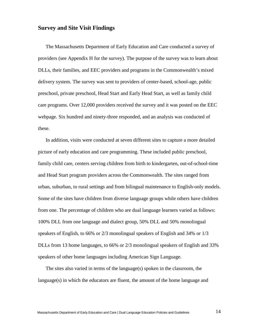## **Survey and Site Visit Findings**

The Massachusetts Department of Early Education and Care conducted a survey of providers (see Appendix H for the survey). The purpose of the survey was to learn about DLLs, their families, and EEC providers and programs in the Commonwealth's mixed delivery system. The survey was sent to providers of center-based, school-age, public preschool, private preschool, Head Start and Early Head Start, as well as family child care programs. Over 12,000 providers received the survey and it was posted on the EEC webpage. Six hundred and ninety-three responded, and an analysis was conducted of these.

In addition, visits were conducted at seven different sites to capture a more detailed picture of early education and care programming. These included public preschool, family child care, centers serving children from birth to kindergarten, out-of-school-time and Head Start program providers across the Commonwealth. The sites ranged from urban, suburban, to rural settings and from bilingual maintenance to English-only models. Some of the sites have children from diverse language groups while others have children from one. The percentage of children who are dual language learners varied as follows: 100% DLL from one language and dialect group, 50% DLL and 50% monolingual speakers of English, to 66% or 2/3 monolingual speakers of English and 34% or 1/3 DLLs from 13 home languages, to 66% or 2/3 monolingual speakers of English and 33% speakers of other home languages including American Sign Language.

The sites also varied in terms of the language(s) spoken in the classroom, the language(s) in which the educators are fluent, the amount of the home language and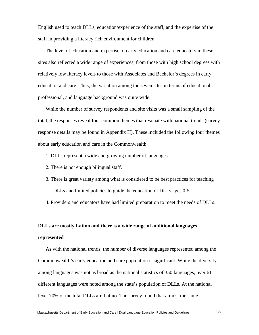English used to teach DLLs, education/experience of the staff, and the expertise of the staff in providing a literacy rich environment for children.

The level of education and expertise of early education and care educators in these sites also reflected a wide range of experiences, from those with high school degrees with relatively low literacy levels to those with Associates and Bachelor's degrees in early education and care. Thus, the variation among the seven sites in terms of educational, professional, and language background was quite wide.

While the number of survey respondents and site visits was a small sampling of the total, the responses reveal four common themes that resonate with national trends (survey response details may be found in Appendix H). These included the following four themes about early education and care in the Commonwealth:

- 1. DLLs represent a wide and growing number of languages.
- 2. There is not enough bilingual staff.
- 3. There is great variety among what is considered to be best practices for teaching DLLs and limited policies to guide the education of DLLs ages 0-5.

4. Providers and educators have had limited preparation to meet the needs of DLLs.

#### **DLLs are mostly Latino and there is a wide range of additional languages**

#### **represented**

As with the national trends, the number of diverse languages represented among the Commonwealth's early education and care population is significant. While the diversity among languages was not as broad as the national statistics of 350 languages, over 61 different languages were noted among the state's population of DLLs. At the national level 70% of the total DLLs are Latino. The survey found that almost the same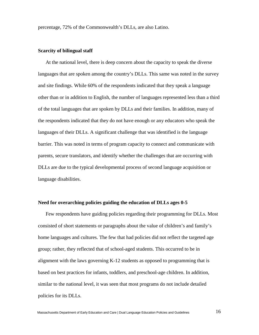percentage, 72% of the Commonwealth's DLLs, are also Latino.

#### **Scarcity of bilingual staff**

At the national level, there is deep concern about the capacity to speak the diverse languages that are spoken among the country's DLLs. This same was noted in the survey and site findings. While 60% of the respondents indicated that they speak a language other than or in addition to English, the number of languages represented less than a third of the total languages that are spoken by DLLs and their families. In addition, many of the respondents indicated that they do not have enough or any educators who speak the languages of their DLLs. A significant challenge that was identified is the language barrier. This was noted in terms of program capacity to connect and communicate with parents, secure translators, and identify whether the challenges that are occurring with DLLs are due to the typical developmental process of second language acquisition or language disabilities.

#### **Need for overarching policies guiding the education of DLLs ages 0-5**

Few respondents have guiding policies regarding their programming for DLLs. Most consisted of short statements or paragraphs about the value of children's and family's home languages and cultures. The few that had policies did not reflect the targeted age group; rather, they reflected that of school-aged students. This occurred to be in alignment with the laws governing K-12 students as opposed to programming that is based on best practices for infants, toddlers, and preschool-age children. In addition, similar to the national level, it was seen that most programs do not include detailed policies for its DLLs.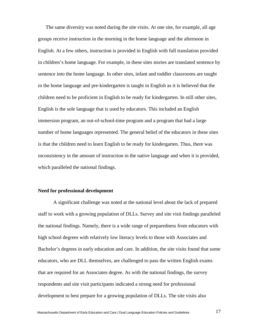The same diversity was noted during the site visits. At one site, for example, all age groups receive instruction in the morning in the home language and the afternoon in English. At a few others, instruction is provided in English with full translation provided in children's home language. For example, in these sites stories are translated sentence by sentence into the home language. In other sites, infant and toddler classrooms are taught in the home language and pre-kindergarten is taught in English as it is believed that the children need to be proficient in English to be ready for kindergarten. In still other sites, English is the sole language that is used by educators. This included an English immersion program, an out-of-school-time program and a program that had a large number of home languages represented. The general belief of the educators in these sites is that the children need to learn English to be ready for kindergarten. Thus, there was inconsistency in the amount of instruction in the native language and when it is provided, which paralleled the national findings.

#### **Need for professional development**

A significant challenge was noted at the national level about the lack of prepared staff to work with a growing population of DLLs. Survey and site visit findings paralleled the national findings. Namely, there is a wide range of preparedness from educators with high school degrees with relatively low literacy levels to those with Associates and Bachelor's degrees in early education and care. In addition, the site visits found that some educators, who are DLL themselves, are challenged to pass the written English exams that are required for an Associates degree. As with the national findings, the survey respondents and site visit participants indicated a strong need for professional development to best prepare for a growing population of DLLs. The site visits also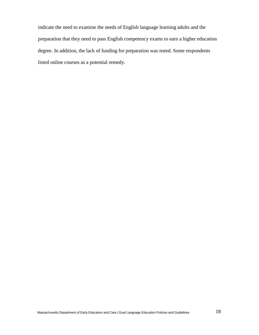indicate the need to examine the needs of English language learning adults and the preparation that they need to pass English competency exams to earn a higher education degree. In addition, the lack of funding for preparation was noted. Some respondents listed online courses as a potential remedy.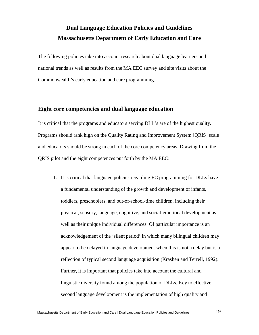## **Dual Language Education Policies and Guidelines Massachusetts Department of Early Education and Care**

The following policies take into account research about dual language learners and national trends as well as results from the MA EEC survey and site visits about the Commonwealth's early education and care programming.

## **Eight core competencies and dual language education**

It is critical that the programs and educators serving DLL's are of the highest quality. Programs should rank high on the Quality Rating and Improvement System [QRIS] scale and educators should be strong in each of the core competency areas. Drawing from the QRIS pilot and the eight competences put forth by the MA EEC:

1. It is critical that language policies regarding EC programming for DLLs have a fundamental understanding of the growth and development of infants, toddlers, preschoolers, and out-of-school-time children, including their physical, sensory, language, cognitive, and social-emotional development as well as their unique individual differences. Of particular importance is an acknowledgement of the 'silent period' in which many bilingual children may appear to be delayed in language development when this is not a delay but is a reflection of typical second language acquisition (Krashen and Terrell, 1992). Further, it is important that policies take into account the cultural and linguistic diversity found among the population of DLLs. Key to effective second language development is the implementation of high quality and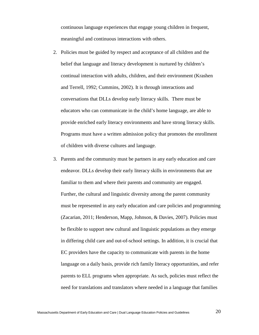continuous language experiences that engage young children in frequent, meaningful and continuous interactions with others.

- 2. Policies must be guided by respect and acceptance of all children and the belief that language and literacy development is nurtured by children's continual interaction with adults, children, and their environment (Krashen and Terrell, 1992; Cummins, 2002). It is through interactions and conversations that DLLs develop early literacy skills. There must be educators who can communicate in the child's home language, are able to provide enriched early literacy environments and have strong literacy skills. Programs must have a written admission policy that promotes the enrollment of children with diverse cultures and language.
- 3. Parents and the community must be partners in any early education and care endeavor. DLLs develop their early literacy skills in environments that are familiar to them and where their parents and community are engaged. Further, the cultural and linguistic diversity among the parent community must be represented in any early education and care policies and programming (Zacarian, 2011; Henderson, Mapp, Johnson, & Davies, 2007). Policies must be flexible to support new cultural and linguistic populations as they emerge in differing child care and out-of-school settings. In addition, it is crucial that EC providers have the capacity to communicate with parents in the home language on a daily basis, provide rich family literacy opportunities, and refer parents to ELL programs when appropriate. As such, policies must reflect the need for translations and translators where needed in a language that families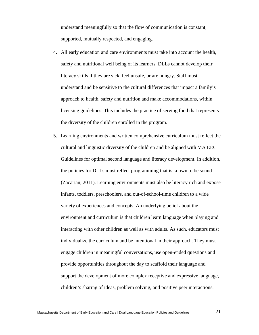understand meaningfully so that the flow of communication is constant, supported, mutually respected, and engaging.

- 4. All early education and care environments must take into account the health, safety and nutritional well being of its learners. DLLs cannot develop their literacy skills if they are sick, feel unsafe, or are hungry. Staff must understand and be sensitive to the cultural differences that impact a family's approach to health, safety and nutrition and make accommodations, within licensing guidelines. This includes the practice of serving food that represents the diversity of the children enrolled in the program.
- 5. Learning environments and written comprehensive curriculum must reflect the cultural and linguistic diversity of the children and be aligned with MA EEC Guidelines for optimal second language and literacy development. In addition, the policies for DLLs must reflect programming that is known to be sound (Zacarian, 2011). Learning environments must also be literacy rich and expose infants, toddlers, preschoolers, and out-of-school-time children to a wide variety of experiences and concepts. An underlying belief about the environment and curriculum is that children learn language when playing and interacting with other children as well as with adults. As such, educators must individualize the curriculum and be intentional in their approach. They must engage children in meaningful conversations, use open-ended questions and provide opportunities throughout the day to scaffold their language and support the development of more complex receptive and expressive language, children's sharing of ideas, problem solving, and positive peer interactions.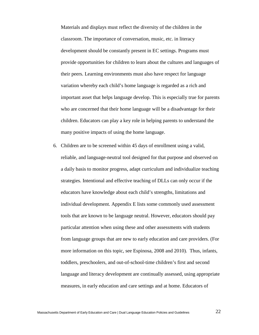Materials and displays must reflect the diversity of the children in the classroom. The importance of conversation, music, etc. in literacy development should be constantly present in EC settings. Programs must provide opportunities for children to learn about the cultures and languages of their peers. Learning environments must also have respect for language variation whereby each child's home language is regarded as a rich and important asset that helps language develop. This is especially true for parents who are concerned that their home language will be a disadvantage for their children. Educators can play a key role in helping parents to understand the many positive impacts of using the home language.

6. Children are to be screened within 45 days of enrollment using a valid, reliable, and language-neutral tool designed for that purpose and observed on a daily basis to monitor progress, adapt curriculum and individualize teaching strategies. Intentional and effective teaching of DLLs can only occur if the educators have knowledge about each child's strengths, limitations and individual development. Appendix E lists some commonly used assessment tools that are known to be language neutral. However, educators should pay particular attention when using these and other assessments with students from language groups that are new to early education and care providers. (For more information on this topic, see Espinosa, 2008 and 2010). Thus, infants, toddlers, preschoolers, and out-of-school-time children's first and second language and literacy development are continually assessed, using appropriate measures, in early education and care settings and at home. Educators of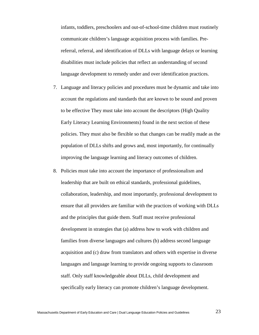infants, toddlers, preschoolers and out-of-school-time children must routinely communicate children's language acquisition process with families. Prereferral, referral, and identification of DLLs with language delays or learning disabilities must include policies that reflect an understanding of second language development to remedy under and over identification practices.

- 7. Language and literacy policies and procedures must be dynamic and take into account the regulations and standards that are known to be sound and proven to be effective They must take into account the descriptors (High Quality Early Literacy Learning Environments) found in the next section of these policies. They must also be flexible so that changes can be readily made as the population of DLLs shifts and grows and, most importantly, for continually improving the language learning and literacy outcomes of children.
- 8. Policies must take into account the importance of professionalism and leadership that are built on ethical standards, professional guidelines, collaboration, leadership, and most importantly, professional development to ensure that all providers are familiar with the practices of working with DLLs and the principles that guide them. Staff must receive professional development in strategies that (a) address how to work with children and families from diverse languages and cultures (b) address second language acquisition and (c) draw from translators and others with expertise in diverse languages and language learning to provide ongoing supports to classroom staff. Only staff knowledgeable about DLLs, child development and specifically early literacy can promote children's language development.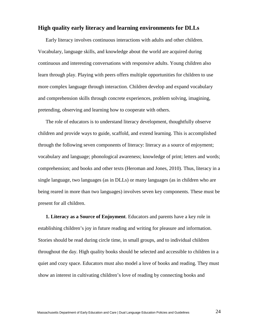## **High quality early literacy and learning environments for DLLs**

Early literacy involves continuous interactions with adults and other children. Vocabulary, language skills, and knowledge about the world are acquired during continuous and interesting conversations with responsive adults. Young children also learn through play. Playing with peers offers multiple opportunities for children to use more complex language through interaction. Children develop and expand vocabulary and comprehension skills through concrete experiences, problem solving, imagining, pretending, observing and learning how to cooperate with others.

The role of educators is to understand literacy development, thoughtfully observe children and provide ways to guide, scaffold, and extend learning. This is accomplished through the following seven components of literacy: literacy as a source of enjoyment; vocabulary and language; phonological awareness; knowledge of print; letters and words; comprehension; and books and other texts (Heroman and Jones, 2010). Thus, literacy in a single language, two languages (as in DLLs) or many languages (as in children who are being reared in more than two languages) involves seven key components. These must be present for all children.

**1. Literacy as a Source of Enjoyment**. Educators and parents have a key role in establishing children's joy in future reading and writing for pleasure and information. Stories should be read during circle time, in small groups, and to individual children throughout the day. High quality books should be selected and accessible to children in a quiet and cozy space. Educators must also model a love of books and reading. They must show an interest in cultivating children's love of reading by connecting books and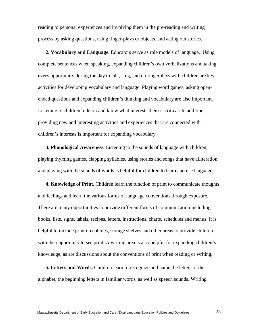reading to personal experiences and involving them in the pre-reading and writing process by asking questions, using finger-plays or objects, and acting out stories.

**2. Vocabulary and Language.** Educators serve as role models of language. Using complete sentences when speaking, expanding children's own verbalizations and taking every opportunity during the day to talk, sing, and do fingerplays with children are key activities for developing vocabulary and language. Playing word games, asking openended questions and expanding children's thinking and vocabulary are also important. Listening to children to learn and know what interests them is critical. In addition, providing new and interesting activities and experiences that are connected with children's interests is important for expanding vocabulary.

**3. Phonological Awareness.** Listening to the sounds of language with children, playing rhyming games, clapping syllables, using stories and songs that have alliteration, and playing with the sounds of words is helpful for children to learn and use language.

**4. Knowledge of Print.** Children learn the function of print to communicate thoughts and feelings and learn the various forms of language conventions through exposure. There are many opportunities to provide different forms of communication including books, lists, signs, labels, recipes, letters, instructions, charts, schedules and menus. It is helpful to include print on cubbies, storage shelves and other areas to provide children with the opportunity to see print. A writing area is also helpful for expanding children's knowledge, as are discussions about the conventions of print when reading or writing.

**5. Letters and Words.** Children learn to recognize and name the letters of the alphabet, the beginning letters in familiar words, as well as speech sounds. Writing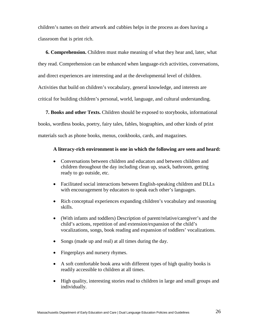children's names on their artwork and cubbies helps in the process as does having a classroom that is print rich.

**6. Comprehension.** Children must make meaning of what they hear and, later, what they read. Comprehension can be enhanced when language-rich activities, conversations, and direct experiences are interesting and at the developmental level of children. Activities that build on children's vocabulary, general knowledge, and interests are critical for building children's personal, world, language, and cultural understanding.

**7. Books and other Texts.** Children should be exposed to storybooks, informational books, wordless books, poetry, fairy tales, fables, biographies, and other kinds of print materials such as phone books, menus, cookbooks, cards, and magazines.

#### **A literacy-rich environment is one in which the following are seen and heard:**

- Conversations between children and educators and between children and children throughout the day including clean up, snack, bathroom, getting ready to go outside, etc.
- Facilitated social interactions between English-speaking children and DLLs with encouragement by educators to speak each other's languages.
- Rich conceptual experiences expanding children's vocabulary and reasoning skills.
- (With infants and toddlers) Description of parent/relative/caregiver's and the child's actions, repetition of and extension/expansion of the child's vocalizations, songs, book reading and expansion of toddlers' vocalizations.
- Songs (made up and real) at all times during the day.
- Fingerplays and nursery rhymes.
- A soft comfortable book area with different types of high quality books is readily accessible to children at all times.
- High quality, interesting stories read to children in large and small groups and individually.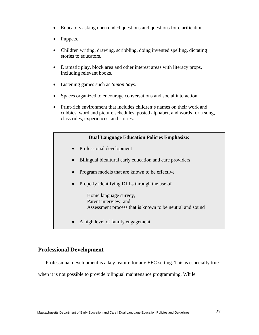- Educators asking open ended questions and questions for clarification.
- Puppets.
- Children writing, drawing, scribbling, doing invented spelling, dictating stories to educators.
- Dramatic play, block area and other interest areas with literacy props, including relevant books.
- Listening games such as *Simon Says*.
- Spaces organized to encourage conversations and social interaction.
- Print-rich environment that includes children's names on their work and cubbies, word and picture schedules, posted alphabet, and words for a song, class rules, experiences, and stories.

## **Dual Language Education Policies Emphasize:**

- Professional development
- Bilingual bicultural early education and care providers
- Program models that are known to be effective
- Properly identifying DLLs through the use of

Home language survey, Parent interview, and Assessment process that is known to be neutral and sound

• A high level of family engagement

## **Professional Development**

Professional development is a key feature for any EEC setting. This is especially true

when it is not possible to provide bilingual maintenance programming. While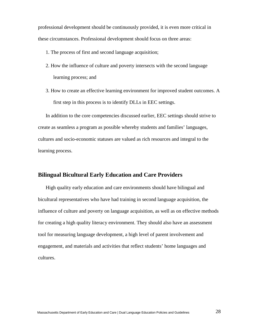professional development should be continuously provided, it is even more critical in these circumstances. Professional development should focus on three areas:

- 1. The process of first and second language acquisition;
- 2. How the influence of culture and poverty intersects with the second language learning process; and
- 3. How to create an effective learning environment for improved student outcomes. A first step in this process is to identify DLLs in EEC settings.

In addition to the core competencies discussed earlier, EEC settings should strive to create as seamless a program as possible whereby students and families' languages, cultures and socio-economic statuses are valued as rich resources and integral to the learning process.

## **Bilingual Bicultural Early Education and Care Providers**

High quality early education and care environments should have bilingual and bicultural representatives who have had training in second language acquisition, the influence of culture and poverty on language acquisition, as well as on effective methods for creating a high quality literacy environment. They should also have an assessment tool for measuring language development, a high level of parent involvement and engagement, and materials and activities that reflect students' home languages and cultures.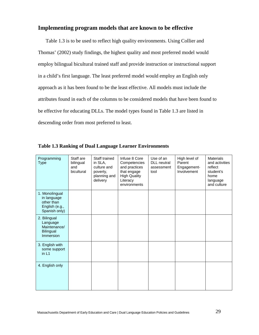## **Implementing program models that are known to be effective**

Table 1.3 is to be used to reflect high quality environments. Using Collier and Thomas' (2002) study findings, the highest quality and most preferred model would employ bilingual bicultural trained staff and provide instruction or instructional support in a child's first language. The least preferred model would employ an English only approach as it has been found to be the least effective. All models must include the attributes found in each of the columns to be considered models that have been found to be effective for educating DLLs. The model types found in Table 1.3 are listed in descending order from most preferred to least.

| Programming<br><b>Type</b>                                                     | Staff are<br>bilingual<br>and<br>bicultural | Staff trained<br>in SLA,<br>culture and<br>poverty,<br>planning and<br>delivery | Infuse 8 Core<br>Competencies<br>and practices<br>that engage<br><b>High Quality</b><br>Literacy<br>environments | Use of an<br><b>DLL</b> neutral<br>assessment<br>tool | High level of<br>Parent<br>Engagement-<br>Involvement | <b>Materials</b><br>and activities<br>reflect<br>student's<br>home<br>language<br>and culture |
|--------------------------------------------------------------------------------|---------------------------------------------|---------------------------------------------------------------------------------|------------------------------------------------------------------------------------------------------------------|-------------------------------------------------------|-------------------------------------------------------|-----------------------------------------------------------------------------------------------|
| 1. Monolingual<br>in language<br>other than<br>English (e.g.,<br>Spanish only) |                                             |                                                                                 |                                                                                                                  |                                                       |                                                       |                                                                                               |
| 2. Bilingual<br>Language<br>Maintenance/<br><b>Bilingual</b><br>Immersion      |                                             |                                                                                 |                                                                                                                  |                                                       |                                                       |                                                                                               |
| 3. English with<br>some support<br>in L1                                       |                                             |                                                                                 |                                                                                                                  |                                                       |                                                       |                                                                                               |
| 4. English only                                                                |                                             |                                                                                 |                                                                                                                  |                                                       |                                                       |                                                                                               |

|  |  |  |  |  |  | <b>Table 1.3 Ranking of Dual Language Learner Environments</b> |
|--|--|--|--|--|--|----------------------------------------------------------------|
|--|--|--|--|--|--|----------------------------------------------------------------|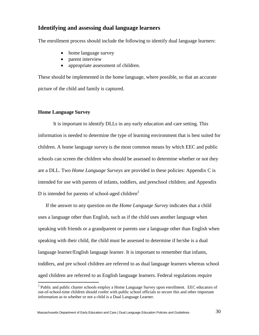## **Identifying and assessing dual language learners**

The enrollment process should include the following to identify dual language learners:

- home language survey
- parent interview
- appropriate assessment of children.

These should be implemented in the home language, where possible, so that an accurate picture of the child and family is captured.

#### **Home Language Survey**

It is important to identify DLLs in any early education and care setting. This information is needed to determine the type of learning environment that is best suited for children. A home language survey is the most common means by which EEC and public schools can screen the children who should be assessed to determine whether or not they are a DLL. Two *Home Language Surveys* are provided in these policies: Appendix C is intended for use with parents of infants, toddlers, and preschool children; and Appendix D is intended for parents of school-aged children<sup>2</sup>

If the answer to any question on the *Home Language Survey* indicates that a child uses a language other than English, such as if the child uses another language when speaking with friends or a grandparent or parents use a language other than English when speaking with their child, the child must be assessed to determine if he/she is a dual language learner/English language learner. It is important to remember that infants, toddlers, and pre school children are referred to as dual language learners whereas school aged children are referred to as English language learners. Federal regulations require

<sup>&</sup>lt;sup>2</sup> Public and public charter schools employ a Home Language Survey upon enrollment. EEC educators of out-of-school-time children should confer with public school officials to secure this and other important information as to whether or not a child is a Dual Language Learner.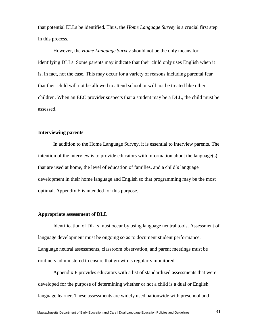that potential ELLs be identified. Thus, the *Home Language Survey* is a crucial first step in this process.

However, the *Home Language Survey* should not be the only means for identifying DLLs. Some parents may indicate that their child only uses English when it is, in fact, not the case. This may occur for a variety of reasons including parental fear that their child will not be allowed to attend school or will not be treated like other children. When an EEC provider suspects that a student may be a DLL, the child must be assessed.

## **Interviewing parents**

In addition to the Home Language Survey, it is essential to interview parents. The intention of the interview is to provide educators with information about the language(s) that are used at home, the level of education of families, and a child's language development in their home language and English so that programming may be the most optimal. Appendix E is intended for this purpose.

#### **Appropriate assessment of DLL**

Identification of DLLs must occur by using language neutral tools. Assessment of language development must be ongoing so as to document student performance. Language neutral assessments, classroom observation, and parent meetings must be routinely administered to ensure that growth is regularly monitored.

Appendix F provides educators with a list of standardized assessments that were developed for the purpose of determining whether or not a child is a dual or English language learner. These assessments are widely used nationwide with preschool and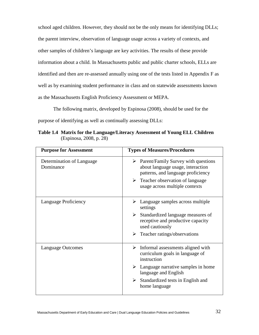school aged children. However, they should not be the only means for identifying DLLs; the parent interview, observation of language usage across a variety of contexts, and other samples of children's language are key activities. The results of these provide information about a child. In Massachusetts public and public charter schools, ELLs are identified and then are re-assessed annually using one of the tests listed in Appendix F as well as by examining student performance in class and on statewide assessments known as the Massachusetts English Proficiency Assessment or MEPA.

The following matrix, developed by Espinosa (2008), should be used for the purpose of identifying as well as continually assessing DLLs:

**Table 1.4 Matrix for the Language/Literacy Assessment of Young ELL Children**  (Espinosa, 2008, p. 28)

| <b>Purpose for Assessment</b>          | <b>Types of Measures/Procedures</b>                                                                                             |
|----------------------------------------|---------------------------------------------------------------------------------------------------------------------------------|
| Determination of Language<br>Dominance | $\triangleright$ Parent/Family Survey with questions<br>about language usage, interaction<br>patterns, and language proficiency |
|                                        | $\triangleright$ Teacher observation of language<br>usage across multiple contexts                                              |
| Language Proficiency                   | $\triangleright$ Language samples across multiple<br>settings                                                                   |
|                                        | $\triangleright$ Standardized language measures of<br>receptive and productive capacity<br>used cautiously                      |
|                                        | $\triangleright$ Teacher ratings/observations                                                                                   |
| <b>Language Outcomes</b>               | $\triangleright$ Informal assessments aligned with<br>curriculum goals in language of<br>instruction                            |
|                                        | $\triangleright$ Language narrative samples in home<br>language and English                                                     |
|                                        | $\triangleright$ Standardized tests in English and<br>home language                                                             |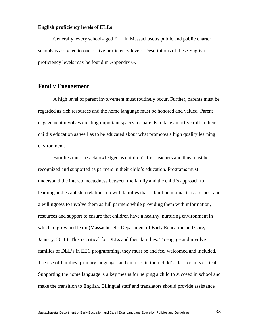#### **English proficiency levels of ELLs**

Generally, every school-aged ELL in Massachusetts public and public charter schools is assigned to one of five proficiency levels. Descriptions of these English proficiency levels may be found in Appendix G.

## **Family Engagement**

A high level of parent involvement must routinely occur. Further, parents must be regarded as rich resources and the home language must be honored and valued. Parent engagement involves creating important spaces for parents to take an active roll in their child's education as well as to be educated about what promotes a high quality learning environment.

Families must be acknowledged as children's first teachers and thus must be recognized and supported as partners in their child's education. Programs must understand the interconnectedness between the family and the child's approach to learning and establish a relationship with families that is built on mutual trust, respect and a willingness to involve them as full partners while providing them with information, resources and support to ensure that children have a healthy, nurturing environment in which to grow and learn (Massachusetts Department of Early Education and Care, January, 2010). This is critical for DLLs and their families. To engage and involve families of DLL's in EEC programming, they must be and feel welcomed and included. The use of families' primary languages and cultures in their child's classroom is critical. Supporting the home language is a key means for helping a child to succeed in school and make the transition to English. Bilingual staff and translators should provide assistance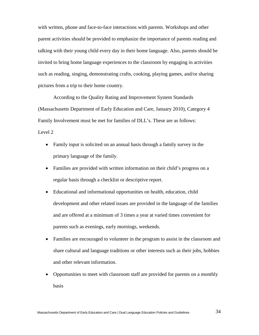with written, phone and face-to-face interactions with parents. Workshops and other parent activities should be provided to emphasize the importance of parents reading and talking with their young child every day in their home language. Also, parents should be invited to bring home language experiences to the classroom by engaging in activities such as reading, singing, demonstrating crafts, cooking, playing games, and/or sharing pictures from a trip to their home country.

According to the Quality Rating and Improvement System Standards (Massachusetts Department of Early Education and Care, January 2010), Category 4 Family Involvement must be met for families of DLL's. These are as follows: Level 2

- Family input is solicited on an annual basis through a family survey in the primary language of the family.
- Families are provided with written information on their child's progress on a regular basis through a checklist or descriptive report.
- Educational and informational opportunities on health, education, child development and other related issues are provided in the language of the families and are offered at a minimum of 3 times a year at varied times convenient for parents such as evenings, early mornings, weekends.
- Families are encouraged to volunteer in the program to assist in the classroom and share cultural and language traditions or other interests such as their jobs, hobbies and other relevant information.
- Opportunities to meet with classroom staff are provided for parents on a monthly basis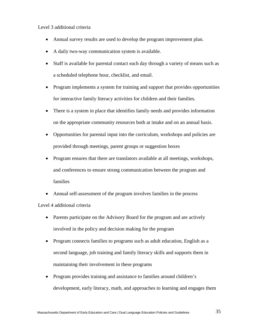#### Level 3 additional criteria

- Annual survey results are used to develop the program improvement plan.
- A daily two-way communication system is available.
- Staff is available for parental contact each day through a variety of means such as a scheduled telephone hour, checklist, and email.
- Program implements a system for training and support that provides opportunities for interactive family literacy activities for children and their families.
- There is a system in place that identifies family needs and provides information on the appropriate community resources both at intake and on an annual basis.
- Opportunities for parental input into the curriculum, workshops and policies are provided through meetings, parent groups or suggestion boxes
- Program ensures that there are translators available at all meetings, workshops, and conferences to ensure strong communication between the program and families
- Annual self-assessment of the program involves families in the process Level 4 additional criteria
	- Parents participate on the Advisory Board for the program and are actively involved in the policy and decision making for the program
	- Program connects families to programs such as adult education, English as a second language, job training and family literacy skills and supports them in maintaining their involvement in these programs
	- Program provides training and assistance to families around children's development, early literacy, math, and approaches to learning and engages them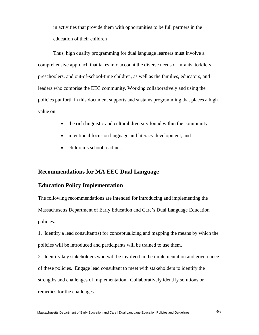in activities that provide them with opportunities to be full partners in the education of their children

Thus, high quality programming for dual language learners must involve a comprehensive approach that takes into account the diverse needs of infants, toddlers, preschoolers, and out-of-school-time children, as well as the families, educators, and leaders who comprise the EEC community. Working collaboratively and using the policies put forth in this document supports and sustains programming that places a high value on:

- the rich linguistic and cultural diversity found within the community,
- intentional focus on language and literacy development, and
- children's school readiness.

#### **Recommendations for MA EEC Dual Language**

## **Education Policy Implementation**

The following recommendations are intended for introducing and implementing the Massachusetts Department of Early Education and Care's Dual Language Education policies.

1. Identify a lead consultant(s) for conceptualizing and mapping the means by which the policies will be introduced and participants will be trained to use them.

2. Identify key stakeholders who will be involved in the implementation and governance of these policies. Engage lead consultant to meet with stakeholders to identify the strengths and challenges of implementation. Collaboratively identify solutions or remedies for the challenges. .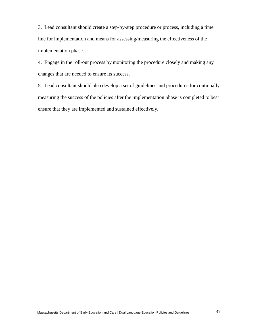3. Lead consultant should create a step-by-step procedure or process, including a time line for implementation and means for assessing/measuring the effectiveness of the implementation phase.

4. Engage in the roll-out process by monitoring the procedure closely and making any changes that are needed to ensure its success.

5. Lead consultant should also develop a set of guidelines and procedures for continually measuring the success of the policies after the implementation phase is completed to best ensure that they are implemented and sustained effectively.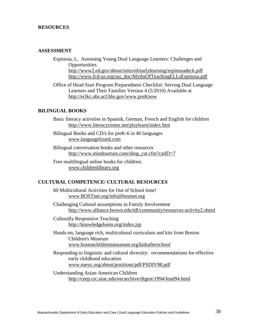#### **RESOURCES**

#### **ASSESSMENT**

Espinosa, L. Assessing Young Dual Language Learners: Challenges and Opportunities. <http://www2.ed.gov/about/inits/ed/earlylearning/espinosadeck.pdf> [http://www.fcd-us.org/usr\\_doc/MythsOfTeachingELLsEspinosa.pdf](http://www.fcd-us.org/usr_doc/MythsOfTeachingELLsEspinosa.pdf)

Office of Head Start Program Preparedness Checklist: Serving Dual Language Learners and Their Families Version 4 (5/2010) Available at [http://eclkc.ohs.acf.hhs.gov/www.preKnow](http://eclkc.ohs.acf.hhs.gov/)

#### **BILINGUAL BOOKS**

Basic literacy activities in Spanish, German, French and English for children <http://www.literacycenter.net/playlearn/index.htm>

Bilingual Books and CD/s for preK-6 in 40 languages [www.languagelizard.com](http://www.languagelizard.com/)

Bilingual conversation books and other resources [http://www.mindnurture.com/shop\\_cat.cfm?catID=7](http://www.mindnurture.com/shop_cat.cfm?catID=7)

Free multilingual online books for children: [www.childrenlibrary.org](http://www.childrenlibrary.org/)

#### **CULTURAL COMPETENCE/ CULTURAL RESOURCES**

60 Multicultural Activities for Out of School time! [www.BOSTnet.org/info@bostnet.org](http://www.bostnet.org/info@bostnet.org)

Challenging Cultural assumptions in Family Involvement <http://www.alliance.brown.edu/tdl/community/resources-activity2.shtml>

Culturally Responsive Teaching <http://knowledgeloom.org/index.jsp>

Hands-on, language rich, multicultural curriculum and kits from Boston Children's Museum [www.bostonchildrensmuseum.org/kidsafterschool](http://www.bostonchildrensmuseum.org/kidsafterschool)

Responding to linguistic and cultural diversity: recommendations for effective early childhood education [www.naeyc.org/about/positions/pdf/PSDIV98.pdf](http://www.naeyc.org/about/positions/pdf/PSDIV98.pdf)

Understanding Asian-American Children <http://ceep.crc.uiuc.edu/eecarchive/digest/1994/fend94.html>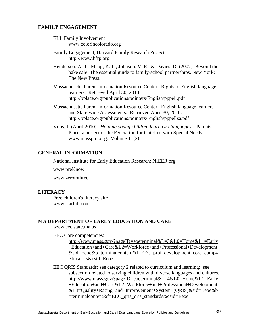#### **FAMILY ENGAGEMENT**

- ELL Family Involvement [www.colorincolorado.org](http://www.colorincolorado.org/)
- Family Engagement, Harvard Family Research Project: [http://www.hfrp.org](http://www.hfrp.org/)

Henderson, A. T., Mapp, K. L., Johnson, V. R., & Davies, D. (2007). Beyond the bake sale: The essential guide to family-school partnerships. New York: The New Press.

- Massachusetts Parent Information Resource Center. Rights of English language learners. Retrieved April 30, 2010: http://pplace.org/publications/pointers/English/pppell.pdf
- Massachusetts Parent Information Resource Center. English language learners and State-wide Assessments. Retrieved April 30, 2010: <http://pplace.org/publications/pointers/English/pppellsa.pdf>
- Vohs, J. (April 2010). *Helping young children learn two languages.* Parents Place, a project of the Federation for Children with Special Needs. www.masspirc.org. Volume 11(2).

#### **GENERAL INFORMATION**

National Institute for Early Education Research: NIEER.org

[www.preKnow](http://www.preknow/)

[www.zerotothree](http://www.zerotothree/)

#### **LITERACY**

Free children's literacy site [www.starfall.com](http://www.starfall.com/)

#### **MA DEPARTMENT OF EARLY EDUCATION AND CARE**

www.eec.state.ma.us

EEC Core competencies:

[http://www.mass.gov/?pageID=eoeterminal&L=3&L0=Home&L1=Early](http://www.mass.gov/?pageID=eoeterminal&L=3&L0=Home&L1=Early+Education+and+Care&L2=Workforce+and+Professional+Development&sid=Eeoe&b=terminalcontent&f=EEC_prof_development_core_comp4_educators&csid=Eeoe) [+Education+and+Care&L2=Workforce+and+Professional+Development](http://www.mass.gov/?pageID=eoeterminal&L=3&L0=Home&L1=Early+Education+and+Care&L2=Workforce+and+Professional+Development&sid=Eeoe&b=terminalcontent&f=EEC_prof_development_core_comp4_educators&csid=Eeoe) [&sid=Eeoe&b=terminalcontent&f=EEC\\_prof\\_development\\_core\\_comp4\\_](http://www.mass.gov/?pageID=eoeterminal&L=3&L0=Home&L1=Early+Education+and+Care&L2=Workforce+and+Professional+Development&sid=Eeoe&b=terminalcontent&f=EEC_prof_development_core_comp4_educators&csid=Eeoe) [educators&csid=Eeoe](http://www.mass.gov/?pageID=eoeterminal&L=3&L0=Home&L1=Early+Education+and+Care&L2=Workforce+and+Professional+Development&sid=Eeoe&b=terminalcontent&f=EEC_prof_development_core_comp4_educators&csid=Eeoe)

EEC QRIS Standards: see category 2 related to curriculum and learning: see subsection related to serving children with diverse languages and cultures. [http://www.mass.gov/?pageID=eoeterminal&L=4&L0=Home&L1=Early](http://www.mass.gov/?pageID=eoeterminal&L=4&L0=Home&L1=Early+Education+and+Care&L2=Workforce+and+Professional+Development&L3=Quality+Rating+and+Improvement+System+%28QRIS%29&sid=Eeoe&b=terminalcontent&f=EEC_qris_qris_standards&csid=Eeoe) [+Education+and+Care&L2=Workforce+and+Professional+Development](http://www.mass.gov/?pageID=eoeterminal&L=4&L0=Home&L1=Early+Education+and+Care&L2=Workforce+and+Professional+Development&L3=Quality+Rating+and+Improvement+System+%28QRIS%29&sid=Eeoe&b=terminalcontent&f=EEC_qris_qris_standards&csid=Eeoe) [&L3=Quality+Rating+and+Improvement+System+\(QRIS\)&sid=Eeoe&b](http://www.mass.gov/?pageID=eoeterminal&L=4&L0=Home&L1=Early+Education+and+Care&L2=Workforce+and+Professional+Development&L3=Quality+Rating+and+Improvement+System+%28QRIS%29&sid=Eeoe&b=terminalcontent&f=EEC_qris_qris_standards&csid=Eeoe)  $=$ terminalcontent $&$ f $=$ EEC qris qris standards $&$ csid $=$ Eeoe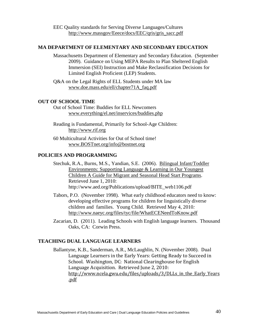## **MA DEPARTMENT OF ELEMENTARY AND SECONDARY EDUCATION**

- Massachusetts Department of Elementary and Secondary Education. (September 2009). Guidance on Using MEPA Results to Plan Sheltered English Immersion (SEI) Instruction and Make Reclassification Decisions for Limited English Proficient (LEP) Students.
- Q&A on the Legal Rights of ELL Students under MA law [www.doe.mass.edu/ell/chapter71A\\_faq.pdf](http://www.doe.mass.edu/ell/chapter71A_faq.pdf)

## **OUT OF SCHOOL TIME**

- Out of School Time: Buddies for ELL Newcomers [www.everything/el.net/inservices/buddies.php](http://www.everything/el.net/inservices/buddies.php)
- Reading is Fundamental, Primarily for School-Age Children: [http://www.rif.org](http://www.rif.org/)
- 60 Multicultural Activities for Out of School time! [www.BOSTnet.org/info@bostnet.org](http://www.bostnet.org/info@bostnet.org)

## **POLICIES AND PROGRAMMING**

- Stechuk, R.A., Burns, M.S., Yandian, S.E. (2006). [Bilingual Infant/Toddler](http://ece.aed.org/publications/mshs/BITE_web1106.pdf)  Environments: [Supporting Language & Learning in Our Youngest](http://ece.aed.org/publications/mshs/BITE_web1106.pdf)  Children [A Guide for Migrant and Seasonal Head Start Programs.](http://ece.aed.org/publications/mshs/BITE_web1106.pdf) Retrieved June 1, 2010: http://www.aed.org/Publications/upload/BITE\_web1106.pdf
- Tabors, P.O. (November 1998). What early childhood educators need to know: developing effective programs for children for linguistically diverse children and families. Young Child*.* Retrieved May 4, 2010*:*  <http://www.naeyc.org/files/tyc/file/WhatECENeedToKnow.pdf>
- Zacarian, D. (2011). Leading Schools with English language learners. Thousand Oaks, CA: Corwin Press.

## **TEACHING DUAL LANGUAGE LEARNERS**

Ballantyne, K.B., Sanderman, A.R., McLaughlin, N. (November 2008). Dual Language Learners in the Early Years: Getting Ready to Succeed in School. Washington, DC: National Clearinghouse for English Language Acquisition. Retrieved June 2, 2010: http://www.ncela.gwu.edu/files/uploads/3/DLLs in the Early Years [.pdf](http://www.ncela.gwu.edu/files/uploads/3/DLLs_in_the_Early_Years.pdf)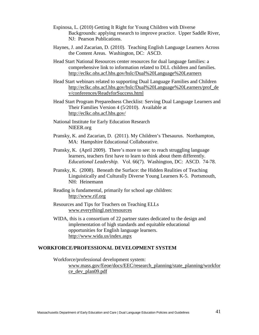- Espinosa, L. (2010) Getting It Right for Young Children with Diverse Backgrounds: applying research to improve practice. Upper Saddle River, NJ: Pearson Publications.
- Haynes, J. and Zacarian, D. (2010). Teaching English Language Learners Across the Content Areas. Washington, DC: ASCD.
- Head Start National Resources center resources for dual language families: a comprehensive link to information related to DLL children and families. <http://eclkc.ohs.acf.hhs.gov/hslc/Dual%20Language%20Learners>
- Head Start webinars related to supporting Dual Language Families and Children [http://eclkc.ohs.acf.hhs.gov/hslc/Dual%20Language%20Learners/prof\\_de](http://eclkc.ohs.acf.hhs.gov/hslc/Dual%20Language%20Learners/prof_dev/conferences/ReadyforSuccess.htm) [v/conferences/ReadyforSuccess.html](http://eclkc.ohs.acf.hhs.gov/hslc/Dual%20Language%20Learners/prof_dev/conferences/ReadyforSuccess.htm)
- Head Start Program Preparedness Checklist: Serving Dual Language Learners and Their Families Version 4 (5/2010). Available at <http://eclkc.ohs.acf.hhs.gov/>
- National Institute for Early Education Research NIEER.org
- Pransky, K. and Zacarian, D. (2011). My Children's Thesaurus. Northampton, MA: Hampshire Educational Collaborative.
- Pransky, K. (April 2009). There's more to see: to reach struggling language learners, teachers first have to learn to think about them differently. *Educational Leadership.* Vol. 66(7). Washington, DC: ASCD. 74-78.
- Pransky, K. (2008). Beneath the Surface: the Hidden Realities of Teaching Linguistically and Culturally Diverse Young Learners K-5. Portsmouth, NH: Heinemann
- Reading is fundamental, primarily for school age children: [http://www.rif.org](http://www.rif.org/)
- Resources and Tips for Teachers on Teaching ELLs [www.everythingl.net/resources](http://www.everythingl.net/resources)
- WIDA, this is a consortium of 22 partner states dedicated to the design and implementation of high standards and equitable educational opportunities for English language learners. <http://www.wida.us/index.aspx>

#### **WORKFORCE/PROFESSIONAL DEVELOPMENT SYSTEM**

Workforce/professional development system:

[www.mass.gov/Eeoe/docs/EEC/research\\_planning/state\\_planning/workfor](http://www.mass.gov/Eeoe/docs/EEC/research_planning/state_planning/workforce_dev_plan09.pdf) [ce\\_dev\\_plan09.pdf](http://www.mass.gov/Eeoe/docs/EEC/research_planning/state_planning/workforce_dev_plan09.pdf)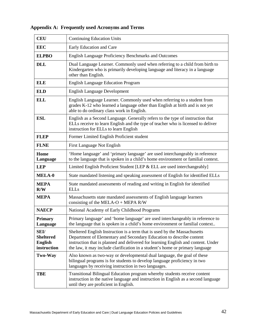| <b>CEU</b>                                                       | <b>Continuing Education Units</b>                                                                                                                                                                                                                                                                                       |
|------------------------------------------------------------------|-------------------------------------------------------------------------------------------------------------------------------------------------------------------------------------------------------------------------------------------------------------------------------------------------------------------------|
| <b>EEC</b>                                                       | Early Education and Care                                                                                                                                                                                                                                                                                                |
| <b>ELPBO</b>                                                     | <b>English Language Proficiency Benchmarks and Outcomes</b>                                                                                                                                                                                                                                                             |
| <b>DLL</b>                                                       | Dual Language Learner. Commonly used when referring to a child from birth to<br>Kindergarten who is primarily developing language and literacy in a language<br>other than English.                                                                                                                                     |
| <b>ELE</b>                                                       | <b>English Language Education Program</b>                                                                                                                                                                                                                                                                               |
| <b>ELD</b>                                                       | <b>English Language Development</b>                                                                                                                                                                                                                                                                                     |
| <b>ELL</b>                                                       | English Language Learner. Commonly used when referring to a student from<br>grades K-12 who learned a language other than English at birth and is not yet<br>able to do ordinary class work in English.                                                                                                                 |
| <b>ESL</b>                                                       | English as a Second Language. Generally refers to the type of instruction that<br>ELLs receive to learn English and the type of teacher who is licensed to deliver<br>instruction for ELLs to learn English                                                                                                             |
| <b>FLEP</b>                                                      | Former Limited English Proficient student                                                                                                                                                                                                                                                                               |
| <b>FLNE</b>                                                      | First Language Not English                                                                                                                                                                                                                                                                                              |
| Home<br>Language                                                 | 'Home language' and 'primary language' are used interchangeably in reference<br>to the language that is spoken in a child's home environment or familial context.                                                                                                                                                       |
| <b>LEP</b>                                                       | Limited English Proficient Student [LEP & ELL are used interchangeably]                                                                                                                                                                                                                                                 |
| <b>MELA-0</b>                                                    | State mandated listening and speaking assessment of English for identified ELLs                                                                                                                                                                                                                                         |
| <b>MEPA</b><br>R/W                                               | State mandated assessments of reading and writing in English for identified<br><b>ELLs</b>                                                                                                                                                                                                                              |
| <b>MEPA</b>                                                      | Massachusetts state mandated assessments of English language learners<br>consisting of the MELA-O + MEPA R/W                                                                                                                                                                                                            |
| <b>NAECP</b>                                                     | National Academy of Early Childhood Programs                                                                                                                                                                                                                                                                            |
| <b>Primary</b><br>Language                                       | Primary language' and 'home language' are used interchangeably in reference to<br>the language that is spoken in a child's home environment or familial context                                                                                                                                                         |
| <b>SEI/</b><br><b>Sheltered</b><br><b>English</b><br>instruction | Sheltered English Instruction is a term that is used by the Massachusetts<br>Department of Elementary and Secondary Education to describe content<br>instruction that is planned and delivered for learning English and content. Under<br>the law, it may include clarification in a student's home or primary language |
| <b>Two-Way</b>                                                   | Also known as two-way or developmental dual language, the goal of these<br>bilingual programs is for students to develop language proficiency in two<br>languages by receiving instruction in two languages.                                                                                                            |
| <b>TBE</b>                                                       | Transitional Bilingual Education program whereby students receive content<br>instruction in the native language and instruction in English as a second language<br>until they are proficient in English.                                                                                                                |

## **Appendix A: Frequently used Acronyms and Terms**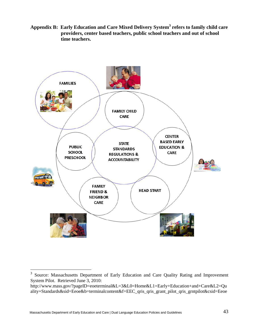**Appendix B: Early Education and Care Mixed Delivery System3 refers to family child care providers, center based teachers, public school teachers and out of school time teachers.** 



<sup>&</sup>lt;sup>3</sup> Source: Massachusetts Department of Early Education and Care Quality Rating and Improvement System Pilot. Retrieved June 3, 2010:

http://www.mass.gov/?pageID=eoeterminal&L=3&L0=Home&L1=Early+Education+and+Care&L2=Qu ality+Standards&sid=Eeoe&b=terminalcontent&f=EEC qris qris grant pilot qris grntpilot&csid=Eeoe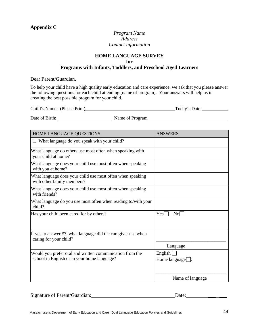## **Appendix C**

## *Program Name Address Contact information*

## **HOME LANGUAGE SURVEY for Programs with Infants, Toddlers, and Preschool Aged Learners**

Dear Parent/Guardian,

To help your child have a high quality early education and care experience, we ask that you please answer the following questions for each child attending [name of program]. Your answers will help us in creating the best possible program for your child.

| Child's Name: (Please Print) |  |  | Today's Date: |
|------------------------------|--|--|---------------|
|------------------------------|--|--|---------------|

Date of Birth: <u>Name of Program</u> Name of Program Name of Program Name of Program Name 1, 1981

| <b>ANSWERS</b>         |
|------------------------|
|                        |
|                        |
|                        |
|                        |
|                        |
|                        |
| Yes<br>No              |
|                        |
| Language               |
| English <sup>[</sup>   |
| Home language $\Box$ : |
| Name of language       |
|                        |

| Signature of Parent/Guardian: | Date: |
|-------------------------------|-------|
|                               |       |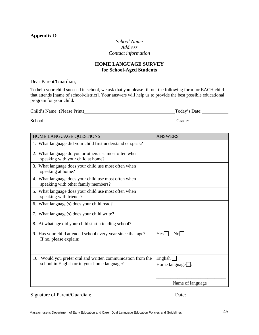## **Appendix D**

## *School Name Address Contact information*

## **HOME LANGUAGE SURVEY for School-Aged Students**

Dear Parent/Guardian,

To help your child succeed in school, we ask that you please fill out the following form for EACH child that attends [name of school/district]. Your answers will help us to provide the best possible educational program for your child.

| Child's Name: (Please Print) | Today's Date: |
|------------------------------|---------------|
|                              |               |
| School:                      | Grade:        |

| HOME LANGUAGE QUESTIONS                                                                                     | <b>ANSWERS</b>                           |
|-------------------------------------------------------------------------------------------------------------|------------------------------------------|
| 1. What language did your child first understand or speak?                                                  |                                          |
| 2. What language do you or others use most often when<br>speaking with your child at home?                  |                                          |
| 3. What language does your child use most often when<br>speaking at home?                                   |                                          |
| 4. What language does your child use most often when<br>speaking with other family members?                 |                                          |
| 5. What language does your child use most often when<br>speaking with friends?                              |                                          |
| 6. What language(s) does your child read?                                                                   |                                          |
| 7. What language(s) does your child write?                                                                  |                                          |
| 8. At what age did your child start attending school?                                                       |                                          |
| 9. Has your child attended school every year since that age?<br>If no, please explain:                      | Nol<br>Yes                               |
| 10. Would you prefer oral and written communication from the<br>school in English or in your home language? | English $\Box$<br>Home language $\Box$ : |
|                                                                                                             | Name of language                         |

Signature of Parent/Guardian: Date: Date: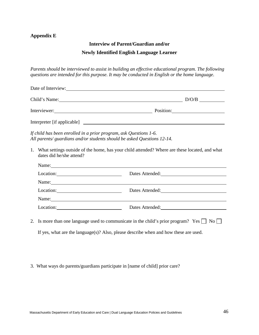## **Appendix E**

#### **Interview of Parent/Guardian and/or**

#### **Newly Identified English Language Learner**

*Parents should be interviewed to assist in building an effective educational program. The following questions are intended for this purpose. It may be conducted in English or the home language.*

|                                                                                                                                                                                                                               | Date of Interview:                                                                                                                                                                                                             |  |  |
|-------------------------------------------------------------------------------------------------------------------------------------------------------------------------------------------------------------------------------|--------------------------------------------------------------------------------------------------------------------------------------------------------------------------------------------------------------------------------|--|--|
|                                                                                                                                                                                                                               | Child's Name: D/O/B D/O/B                                                                                                                                                                                                      |  |  |
|                                                                                                                                                                                                                               | Interviewer: Position:                                                                                                                                                                                                         |  |  |
|                                                                                                                                                                                                                               |                                                                                                                                                                                                                                |  |  |
| If child has been enrolled in a prior program, ask Questions 1-6.<br>All parents/ guardians and/or students should be asked Questions 12-14.                                                                                  |                                                                                                                                                                                                                                |  |  |
| 1. What settings outside of the home, has your child attended? Where are these located, and what<br>dates did he/she attend?                                                                                                  |                                                                                                                                                                                                                                |  |  |
| Name: Name and the second contract of the second contract of the second contract of the second contract of the second contract of the second contract of the second contract of the second contract of the second contract of |                                                                                                                                                                                                                                |  |  |
|                                                                                                                                                                                                                               | Dates Attended:<br><u>Dates Attended:</u>                                                                                                                                                                                      |  |  |
|                                                                                                                                                                                                                               | Name: Name and the set of the set of the set of the set of the set of the set of the set of the set of the set of the set of the set of the set of the set of the set of the set of the set of the set of the set of the set o |  |  |
|                                                                                                                                                                                                                               | Location: Dates Attended: Dates Attended:                                                                                                                                                                                      |  |  |
|                                                                                                                                                                                                                               | Name: Name and the set of the set of the set of the set of the set of the set of the set of the set of the set of the set of the set of the set of the set of the set of the set of the set of the set of the set of the set o |  |  |
|                                                                                                                                                                                                                               | Dates Attended:<br><u>Dates Attended:</u>                                                                                                                                                                                      |  |  |
| 2. Is more than one language used to communicate in the child's prior program? Yes $\Box$ No $\Box$                                                                                                                           |                                                                                                                                                                                                                                |  |  |
| If yes, what are the language $(s)$ ? Also, please describe when and how these are used.                                                                                                                                      |                                                                                                                                                                                                                                |  |  |

3. What ways do parents/guardians participate in [name of child] prior care?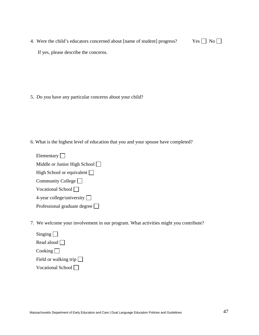4. Were the child's educators concerned about [name of student] progress? Yes  $\Box$  No  $\Box$ If yes, please describe the concerns.

5. Do you have any particular concerns about your child?

6. What is the highest level of education that you and your spouse have completed?

7. We welcome your involvement in our program. What activities might you contribute?

| Singing                         |
|---------------------------------|
| Read aloud                      |
| $\cosh\left(\frac{1}{2}\right)$ |
| Field or walking trip $\Box$    |
| Vocational School               |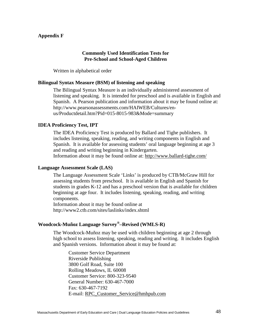### **Appendix F**

#### **Commonly Used Identification Tests for Pre-School and School-Aged Children**

Written in alphabetical order

#### **Bilingual Syntax Measure (BSM) of listening and speaking**

The Bilingual Syntax Measure is an individually administered assessment of listening and speaking. It is intended for preschool and is available in English and Spanish. A Pearson publication and information about it may be found online at: http://www.pearsonassessments.com/HAIWEB/Cultures/enus/Productdetail.htm?Pid=015-8015-983&Mode=summary

#### **IDEA Proficiency Test, IPT**

The IDEA Proficiency Test is produced by Ballard and Tighe publishers. It includes listening, speaking, reading, and writing components in English and Spanish. It is available for assessing students' oral language beginning at age 3 and reading and writing beginning in Kindergarten. Information about it may be found online at:<http://www.ballard-tighe.com/>

#### **Language Assessment Scale (LAS)**

The Language Assessment Scale 'Links' is produced by CTB/McGraw Hill for assessing students from preschool. It is available in English and Spanish for students in grades K-12 and has a preschool version that is available for children beginning at age four. It includes listening, speaking, reading, and writing components.

Information about it may be found online at http://www2.ctb.com/sites/laslinks/index.shtml

## **Woodcock-Muñoz Language Survey®–Revised (WMLS-R)**

The Woodcock-Muñoz may be used with children beginning at age 2 through high school to assess listening, speaking, reading and writing. It includes English and Spanish versions. Information about it may be found at:

Customer Service Department Riverside Publishing 3800 Golf Road, Suite 100 Rolling Meadows, IL 60008 Customer Service: 800-323-9540 General Number: 630-467-7000 Fax: 630-467-7192 E-mail: [RPC\\_Customer\\_Service@hmhpub.com](mailto:RPC_Customer_Service@hmhpub.com)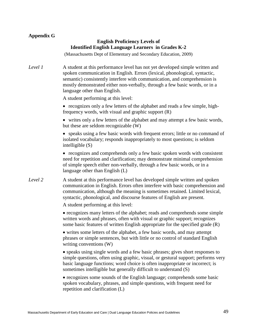## **Appendix G**

## **English Proficiency Levels of Identified English Language Learners in Grades K-2**

(Massachusetts Dept of Elementary and Secondary Education, 2009)

*Level 1* A student at this performance level has not yet developed simple written and spoken communication in English. Errors (lexical, phonological, syntactic, semantic) consistently interfere with communication, and comprehension is mostly demonstrated either non-verbally, through a few basic words, or in a language other than English.

A student performing at this level:

• recognizes only a few letters of the alphabet and reads a few simple, highfrequency words, with visual and graphic support (R)

• writes only a few letters of the alphabet and may attempt a few basic words, but these are seldom recognizable (W)

• speaks using a few basic words with frequent errors; little or no command of isolated vocabulary; responds inappropriately to most questions; is seldom intelligible (S)

• recognizes and comprehends only a few basic spoken words with consistent need for repetition and clarification; may demonstrate minimal comprehension of simple speech either non-verbally, through a few basic words, or in a language other than English (L)

*Level 2* A student at this performance level has developed simple written and spoken communication in English. Errors often interfere with basic comprehension and communication, although the meaning is sometimes retained. Limited lexical, syntactic, phonological, and discourse features of English are present.

A student performing at this level:

• recognizes many letters of the alphabet; reads and comprehends some simple written words and phrases, often with visual or graphic support; recognizes some basic features of written English appropriate for the specified grade (R)

• writes some letters of the alphabet, a few basic words, and may attempt phrases or simple sentences, but with little or no control of standard English writing conventions (W)

• speaks using single words and a few basic phrases; gives short responses to simple questions, often using graphic, visual, or gestural support; performs very basic language functions; word choice is often inappropriate or incorrect; is sometimes intelligible but generally difficult to understand (S)

• recognizes some sounds of the English language; comprehends some basic spoken vocabulary, phrases, and simple questions, with frequent need for repetition and clarification (L)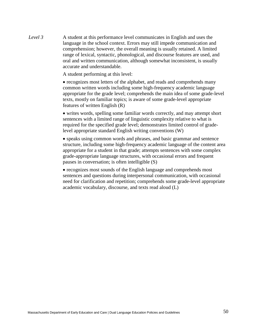*Level 3* A student at this performance level communicates in English and uses the language in the school context. Errors may still impede communication and comprehension; however, the overall meaning is usually retained. A limited range of lexical, syntactic, phonological, and discourse features are used, and oral and written communication, although somewhat inconsistent, is usually accurate and understandable.

A student performing at this level:

• recognizes most letters of the alphabet, and reads and comprehends many common written words including some high-frequency academic language appropriate for the grade level; comprehends the main idea of some grade-level texts, mostly on familiar topics; is aware of some grade-level appropriate features of written English (R)

• writes words, spelling some familiar words correctly, and may attempt short sentences with a limited range of linguistic complexity relative to what is required for the specified grade level; demonstrates limited control of gradelevel appropriate standard English writing conventions (W)

• speaks using common words and phrases, and basic grammar and sentence structure, including some high-frequency academic language of the content area appropriate for a student in that grade; attempts sentences with some complex grade-appropriate language structures, with occasional errors and frequent pauses in conversation; is often intelligible (S)

• recognizes most sounds of the English language and comprehends most sentences and questions during interpersonal communication, with occasional need for clarification and repetition; comprehends some grade-level appropriate academic vocabulary, discourse, and texts read aloud (L)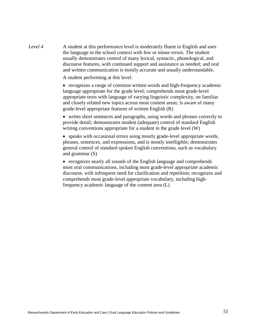*Level 4* A student at this performance level is moderately fluent in English and uses the language in the school context with few or minor errors. The student usually demonstrates control of many lexical, syntactic, phonological, and discourse features, with continued support and assistance as needed; and oral and written communication is mostly accurate and usually understandable.

A student performing at this level:

• recognizes a range of common written words and high-frequency academic language appropriate for the grade level; comprehends most grade-level appropriate texts with language of varying linguistic complexity, on familiar and closely related new topics across most content areas; is aware of many grade-level appropriate features of written English (R)

• writes short sentences and paragraphs, using words and phrases correctly to provide detail; demonstrates modest (adequate) control of standard English writing conventions appropriate for a student in the grade level (W)

• speaks with occasional errors using mostly grade-level appropriate words, phrases, sentences, and expressions, and is mostly intelligible; demonstrates general control of standard spoken English conventions, such as vocabulary and grammar (S)

• recognizes nearly all sounds of the English language and comprehends most oral communications, including most grade-level appropriate academic discourse, with infrequent need for clarification and repetition; recognizes and comprehends most grade-level appropriate vocabulary, including highfrequency academic language of the content area (L)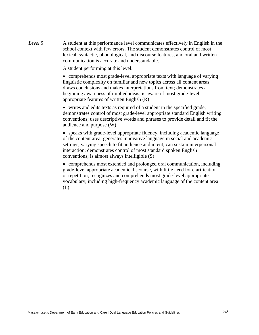*Level* 5 A student at this performance level communicates effectively in English in the school context with few errors. The student demonstrates control of most lexical, syntactic, phonological, and discourse features, and oral and written communication is accurate and understandable.

A student performing at this level:

• comprehends most grade-level appropriate texts with language of varying linguistic complexity on familiar and new topics across all content areas; draws conclusions and makes interpretations from text; demonstrates a beginning awareness of implied ideas; is aware of most grade-level appropriate features of written English (R)

• writes and edits texts as required of a student in the specified grade; demonstrates control of most grade-level appropriate standard English writing conventions; uses descriptive words and phrases to provide detail and fit the audience and purpose (W)

• speaks with grade-level appropriate fluency, including academic language of the content area; generates innovative language in social and academic settings, varying speech to fit audience and intent; can sustain interpersonal interaction; demonstrates control of most standard spoken English conventions; is almost always intelligible (S)

• comprehends most extended and prolonged oral communication, including grade-level appropriate academic discourse, with little need for clarification or repetition; recognizes and comprehends most grade-level appropriate vocabulary, including high-frequency academic language of the content area (L)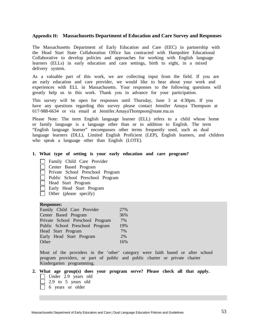#### **Appendix H: Massachusetts Department of Education and Care Survey and Responses**

The Massachusetts Department of Early Education and Care (EEC) in partnership with the Head Start State Collaboration Office has contracted with Hampshire Educational Collaborative to develop policies and approaches for working with English language learners (ELLs) in early education and care settings, birth to eight, in a mixed delivery system.

As a valuable part of this work, we are collecting input from the field. If you are an early education and care provider, we would like to hear about your work and experiences with ELL in Massachusetts. Your responses to the following questions will greatly help us in this work. Thank you in advance for your participation.

This survey will be open for responses until Thursday, June 3 at 4:30pm. If you have any questions regarding this survey please contact Jennifer Amaya Thompson at 617-988-6634 or via email at Jennifer.AmayaThompson@state.ma.us

Please Note: The term English language learner (ELL) refers to a child whose home or family language is a language other than or in addition to English. The term "English language learner" encompasses other terms frequently used, such as dual language learners (DLL), Limited English Proficient (LEP), English learners, and children who speak a language other than English (LOTE).

#### **1. What type of setting is your early education and care program?**

- Family Child Care Provider
- Center Based Program
- Private School Preschool Program
- Public School Preschool Program
- Head Start Program
- Early Head Start Program
- $\Box$  Other (please specify)

#### **Responses:**

| Family Child Care Provider       | 27% |
|----------------------------------|-----|
| Center Based Program             | 36% |
| Private School Preschool Program | 7%  |
| Public School Preschool Program  | 19% |
| Head Start Program               | 7%  |
| Early Head Start Program         | 2%  |
| Other                            | 16% |

Most of the providers in the 'other' category were faith based or after school program providers, or part of public and public charter or private charter Kindergarten programming.

- **2. What age group(s) does your program serve? Please check all that apply.** Under 2.9 years old
	- $\Box$  2.9 to 5 years old
	- 6 years or older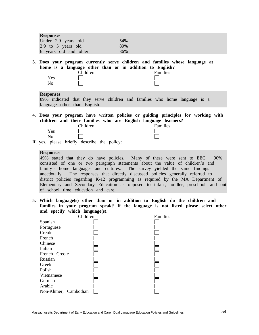| <b>Responses</b><br>Under 2.9 years old<br>54%<br>2.9 to 5 years old<br>89%<br>6 years old and older<br>36%                                                                                                                                                                                                                                                                                                                                                                                                                                                           |  |
|-----------------------------------------------------------------------------------------------------------------------------------------------------------------------------------------------------------------------------------------------------------------------------------------------------------------------------------------------------------------------------------------------------------------------------------------------------------------------------------------------------------------------------------------------------------------------|--|
| 3. Does your program currently serve children and families whose language at<br>home is a language other than or in addition to English?<br>Children<br>Families<br>Yes<br>No                                                                                                                                                                                                                                                                                                                                                                                         |  |
| <b>Responses</b><br>89% indicated that they serve children and families who home language is a<br>language other than English.                                                                                                                                                                                                                                                                                                                                                                                                                                        |  |
| 4. Does your program have written policies or guiding principles for working with<br>children and their families who are English language learners?<br>Children<br>Families<br>Yes<br>No<br>If yes, please briefly describe the policy:                                                                                                                                                                                                                                                                                                                               |  |
| <b>Responses</b><br>49% stated that they do have policies. Many of these were sent to EEC. 90%<br>consisted of one or two paragraph statements about the value of children's and<br>family's home languages and cultures. The survey yielded the same findings<br>anecdotally. The responses that directly discussed policies generally referred to<br>district policies regarding K-12 programming as required by the MA Department of<br>Elementary and Secondary Education as opposed to infant, toddler, preschool, and out<br>of school time education and care. |  |
| 5. Which language(s) other than or in addition to English do the children and<br>families in your program speak? If the language is not listed please select other<br>and specify which language(s).<br>Children<br>Families                                                                                                                                                                                                                                                                                                                                          |  |
| $C_{\text{non-oh}}$                                                                                                                                                                                                                                                                                                                                                                                                                                                                                                                                                   |  |

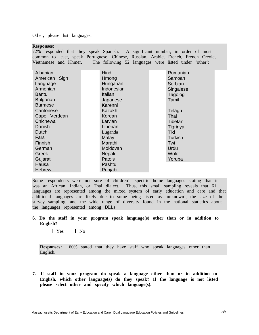Other, please list languages:

| <b>Responses:</b> |
|-------------------|
|-------------------|

72% responded that they speak Spanish. A significant number, in order of most common to least, speak Portuguese, Chinese, Russian, Arabic, French, French Creole, Vietnamese and Khmer. The following 52 languages were listed under 'other':

| Albanian<br>American Sign | Hindi<br>Hmong | Rumanian<br>Samoan |
|---------------------------|----------------|--------------------|
| Language                  | Hungarian      | Serbian            |
| Armenian                  | Indonesian     | Singalese          |
| <b>Bantu</b>              | Italian        | Tagolog            |
| <b>Bulgarian</b>          | Japanese       | Tamil              |
| <b>Burmese</b>            | Karenni        |                    |
| Cantonese                 | Kazakh         | Telagu             |
| Cape Verdean              | Korean         | Thai               |
| Chichewa                  | Latvian        | Tibetan            |
| Danish                    | Liberian       | Tigrinya           |
| Dutch                     | Luganda        | <b>Tiki</b>        |
| Farsi                     | Malay          | <b>Turkish</b>     |
| Finnish                   | Marathi        | Twi                |
| German                    | Moldovan       | Urdu               |
| Greek                     | Nepali         | Wolof              |
| Gujarati                  | Patois         | Yoruba             |
| Hausa                     | Pashtu         |                    |
| <b>Hebrew</b>             | Punjabi        |                    |

Some respondents were not sure of children's specific home languages stating that it was an African, Indian, or Thai dialect. Thus, this small sampling reveals that 61 languages are represented among the mixed system of early education and care and that additional languages are likely due to some being listed as 'unknown', the size of the survey sampling, and the wide range of diversity found in the national statistics about the languages represented among DLLs

**6. Do the staff in your program speak language(s) other than or in addition to English?**

 $\Box$  Yes  $\Box$  No

**Responses:** 60% stated that they have staff who speak languages other than English.

**7. If staff in your program do speak a language other than or in addition to English, which other language(s) do they speak? If the language is not listed please select other and specify which language(s).**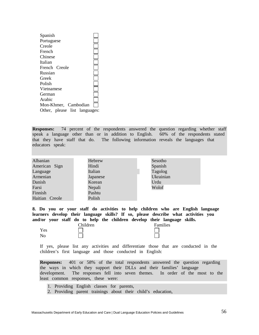| Spanish                       |  |
|-------------------------------|--|
| Portuguese                    |  |
| Creole                        |  |
| French                        |  |
| Chinese                       |  |
| Italian                       |  |
| French Creole                 |  |
| Russian                       |  |
| Greek                         |  |
| Polish                        |  |
| Vietnamese                    |  |
| German                        |  |
| Arabic                        |  |
| Mon-Khmer, Cambodian          |  |
| Other, please list languages: |  |

**Responses:** 74 percent of the respondents answered the question regarding whether staff speak a language other than or in addition to English. 60% of the respondents stated that they have staff that do. The following information reveals the languages that educators speak:

| Albanian       | Hebrew   | Sesotho   |
|----------------|----------|-----------|
| American Sign  | Hindi    | Spanish   |
| Language       | Italian  | Tagolog   |
| Armenian       | Japanese | Ukrainian |
| Danish         | Korean   | Urdu      |
| Farsi          | Nepali   | Wolof     |
| Finnish        | Pashtu   |           |
| Haitian Creole | Polish   |           |

**8. Do you or your staff do activities to help children who are English language learners develop their language skills? If so, please describe what activities you and/or your staff do to help the children develop their language skills.**

| Yes |  |
|-----|--|
| No  |  |

Children Families

If yes, please list any activities and differentiate those that are conducted in the children's first language and those conducted in English:

**Responses:** 401 or 58% of the total respondents answered the question regarding the ways in which they support their DLLs and their families' language development. The responses fell into seven themes. In order of the most to the least common responses, these were:

1. Providing English classes for parents,

 $\Box$ 

2. Providing parent trainings about their child's education,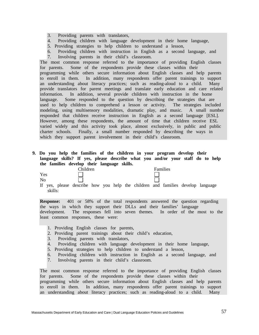- 3. Providing parents with translators,
- 4. Providing children with language development in their home language,
- 5. Providing strategies to help children to understand a lesson,
- 6. Providing children with instruction in English as a second language, and 7. Involving parents in their child's classroom.

The most common response referred to the importance of providing English classes for parents. Some of the respondents provide these classes within their programming while others secure information about English classes and help parents to enroll in them. In addition, many respondents offer parent trainings to support an understanding about literacy practices; such as reading-aloud to a child. Many provide translators for parent meetings and translate early education and care related information. In addition, several provide children with instruction in the home language. Some responded to the question by describing the strategies that are used to help children to comprehend a lesson or activity. The strategies included modeling, using multisensory modalities, dramatic play, and music. A small number responded that children receive instruction in English as a second language [ESL]. However, among these respondents, the amount of time that children receive ESL varied widely and this activity took place, almost exclusively, in public and public charter schools. Finally, a small number responded by describing the ways in which they support parent involvement in their child's classroom.

#### **9. Do you help the families of the children in your program develop their language skills? If yes, please describe what you and/or your staff do to help the families develop their language skills.**

| Yes |  |
|-----|--|
| No  |  |

Children Families

If yes, please describe how you help the children and families develop language skills:

**Response:** 401 or 58% of the total respondents answered the question regarding the ways in which they support their DLLs and their families' language development. The responses fell into seven themes. In order of the most to the least common responses, these were:

- 1. Providing English classes for parents,
- 2. Providing parent trainings about their child's education,
- 3. Providing parents with translators,
- 4. Providing children with language development in their home language,
- 5. Providing strategies to help children to understand a lesson,
- 6. Providing children with instruction in English as a second language, and
- 7. Involving parents in their child's classroom.

The most common response referred to the importance of providing English classes for parents. Some of the respondents provide these classes within their programming while others secure information about English classes and help parents to enroll in them. In addition, many respondents offer parent trainings to support an understanding about literacy practices; such as reading-aloud to a child. Many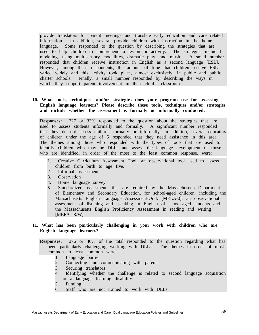provide translators for parent meetings and translate early education and care related information. In addition, several provide children with instruction in the home language. Some responded to the question by describing the strategies that are used to help children to comprehend a lesson or activity. The strategies included modeling, using multisensory modalities, dramatic play, and music. A small number responded that children receive instruction in English as a second language [ESL]. However, among these respondents, the amount of time that children receive ESL varied widely and this activity took place, almost exclusively, in public and public charter schools. Finally, a small number responded by describing the ways in which they support parent involvement in their child's classroom.

#### **10. What tools, techniques, and/or strategies does your program use for assessing English language learners? Please describe these tools, techniques and/or strategies and include whether the assessment is formally or informally conducted:**

**Responses:** 227 or 33% responded to the question about the strategies that are used to assess students informally and formally. A significant number responded that they do not assess children formally or informally. In addition, several educators of children under the age of 5 responded that they need assistance in this area. The themes among those who responded with the types of tools that are used to identify children who may be DLLs and assess the language development of those who are identified, in order of the most to the least common response, were:

- 1. Creative Curriculum Assessment Tool, an observational tool used to assess children from birth to age five.
- 2. Informal assessment
- 3. Observation
- 4. Home language survey
- 5. Standardized assessments that are required by the Massachusetts Department of Elementary and Secondary Education, for school-aged children, including the Massachusetts English Language Assessment-Oral, [MELA-0], an observational assessment of listening and speaking in English of school-aged students and the Massachusetts English Proficiency Assessment in reading and writing [MEPA R/W].

#### **11. What has been particularly challenging in your work with children who are English language learners?**

**Responses:** 276 or 40% of the total responded to the question regarding what has been particularly challenging working with DLLs. The themes in order of most common to least common were:

- 1. Language barrier
- 2. Connecting and communicating with parents
- 3. Securing translators
- 4. Identifying whether the challenge is related to second language acquisition or a language learning disability.
- 5. Funding
- 6. Staff who are not trained to work with DLLs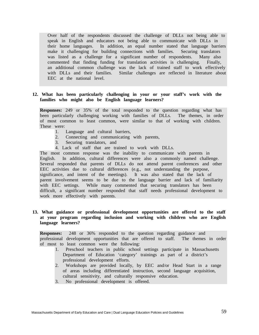Over half of the respondents discussed the challenge of DLLs not being able to speak in English and educators not being able to communicate with DLLs in their home languages. In addition, an equal number stated that language barriers make it challenging for building connections with families. Securing translators was listed as a challenge for a significant number of respondents. Many also commented that finding funding for translation activities is challenging. Finally, an additional common challenge was the lack of trained staff to work effectively with DLLs and their families. Similar challenges are reflected in literature about EEC at the national level.

#### **12. What has been particularly challenging in your or your staff's work with the families who might also be English language learners?**

**Responses:** 249 or 35% of the total responded to the question regarding what has been particularly challenging working with families of DLLs. The themes, in order of most common to least common, were similar to that of working with children. These were:

- 1. Language and cultural barriers,
- 2. Connecting and communicating with parents,
- 3. Securing translators, and
- 4. Lack of staff that are trained to work with DLLs.

The most common response was the inability to communicate with parents in English. In addition, cultural differences were also a commonly named challenge. Several responded that parents of DLLs do not attend parent conferences and other EEC activities due to cultural differences (e.g., not understanding the purpose, significance, and intent of the meetings). It was also stated that the lack of parent involvement seems to be due to the language barrier and lack of familiarity with EEC settings. While many commented that securing translators has been difficult, a significant number responded that staff needs professional development to work more effectively with parents.

#### **13. What guidance or professional development opportunities are offered to the staff at your program regarding inclusion and working with children who are English language learners?**

**Responses:** 248 or 36% responded to the question regarding guidance and professional development opportunities that are offered to staff. The themes in order of most to least common were the following:

- 1. Preschool teachers in public school settings participate in Massachusetts Department of Education 'category' trainings as part of a district's professional development efforts.
- 2. Workshops are provided locally, by EEC and/or Head Start in a range of areas including differentiated instruction, second language acquisition, cultural sensitivity, and culturally responsive education.
- 3. No professional development is offered.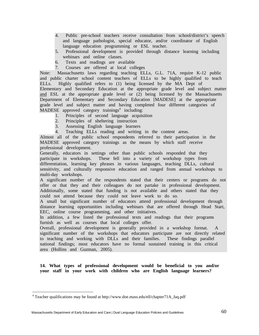- 4. Public pre-school teachers receive consultation from school/district's speech and language pathologist, special educator, and/or coordinator of English language education programming or ESL teacher.
- 5. Professional development is provided through distance learning including webinars and online classes.
- 6. Texts and readings are available
- 7. Courses are offered at local colleges

Note: Massachusetts laws regarding teaching ELLs, G.L. 71A, require K-12 public and public charter school content teachers of ELLs to be highly qualified to teach ELLs. Highly qualified refers to (1) being licensed by the MA Dept of Elementary and Secondary Education at the appropriate grade level and subject matter and ESL at the appropriate grade level or (2) being licensed by the Massachusetts Department of Elementary and Secondary Education [MADESE] at the appropriate grade level and subject matter and having completed four different categories of MADESE approved category trainings<sup>4</sup> including:

- 1. Principles of second language acquisition
- 2. Principles of sheltering instruction
- 3. Assessing English language learners
- 4. Teaching ELLs reading and writing in the content areas.

Almost all of the public school respondents referred to their participation in the MADESE approved category trainings as the means by which staff receive professional development.

Generally, educators in settings other than public schools responded that they participate in workshops. These fell into a variety of workshop types from differentiation, learning key phrases in various languages, teaching DLLs, cultural sensitivity, and culturally responsive education and ranged from annual workshops to multi-day workshops.

A significant number of the respondents stated that their centers or programs do not offer or that they and their colleagues do not partake in professional development. Additionally, some stated that funding is not available and others stated that they could not attend because they could not leave work to do so.

A small but significant number of educators attend professional development through distance learning opportunities including webinars that are offered through Head Start, EEC, online course programming, and other initiatives.

In addition, a few listed the professional texts and readings that their programs furnish as well as courses that local colleges offer.

Overall, professional development is generally provided in a workshop format. A significant number of the workshops that educators participate are not directly related to teaching and working with DLLs and their families. These findings parallel national findings; most educators have no formal sustained training in this critical area (Hollins and Guzman, 2005).

**14. What types of professional development would be beneficial to you and/or your staff in your work with children who are English language learners?**

<sup>&</sup>lt;sup>4</sup> Teacher qualifications may be found at http://www.doe.mass.edu/ell/chapter71A\_faq.pdf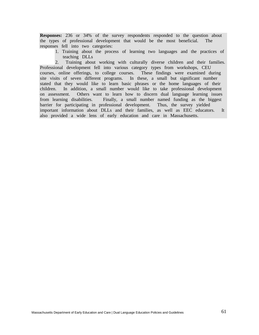**Responses:** 236 or 34% of the survey respondents responded to the question about the types of professional development that would be the most beneficial. The responses fell into two categories:

1. Training about the process of learning two languages and the practices of teaching DLLs

2. Training about working with culturally diverse children and their families. Professional development fell into various category types from workshops, CEU courses, online offerings, to college courses. These findings were examined during site visits of seven different programs. In these, a small but significant number stated that they would like to learn basic phrases or the home languages of their children. In addition, a small number would like to take professional development on assessment. Others want to learn how to discern dual language learning issues from learning disabilities. Finally, a small number named funding as the biggest barrier for participating in professional development. Thus, the survey yielded important information about DLLs and their families, as well as EEC educators. It also provided a wide lens of early education and care in Massachusetts.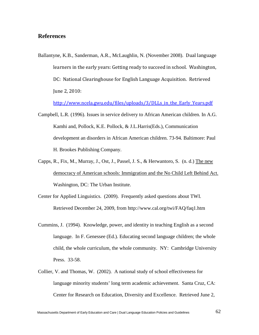## **References**

Ballantyne, K.B., Sanderman, A.R., McLaughlin, N. (November 2008). Dual language learners in the early years: Getting ready to succeed in school. Washington, DC: National Clearinghouse for English Language Acquisition. Retrieved June 2, 2010:

[http://www.ncela.gwu.edu/files/uploads/3/DLLs\\_in\\_the\\_Early\\_Years.pdf](http://www.ncela.gwu.edu/files/uploads/3/DLLs_in_the_Early_Years.pdf)

- Campbell, L.R. (1996). Issues in service delivery to African American children. In A.G. Kamhi and, Pollock, K.E. Pollock, & J.L.Harris(Eds.), Communication development an disorders in African American children. 73-94. Baltimore: Paul H. Brookes Publishing Company.
- Capps, R., Fix, M., Murray, J., Ost, J., Passel, J. S., & Herwantoro, S. (n. d.) The new democracy of American schools: Immigration and the No Child Left Behind Act. Washington, DC: The Urban Institute.
- Center for Applied Linguistics. (2009). Frequently asked questions about TWI. Retrieved December 24, 2009, from http://www.cal.org/twi/FAQ/faq1.htm
- Cummins, J. (1994). Knowledge, power, and identity in teaching English as a second language. In F. Genessee (Ed.). Educating second language children; the whole child, the whole curriculum, the whole community. NY: Cambridge University Press. 33-58.
- Collier, V. and Thomas, W. (2002). A national study of school effectiveness for language minority students' long term academic achievement. Santa Cruz, CA: Center for Research on Education, Diversity and Excellence. Retrieved June 2,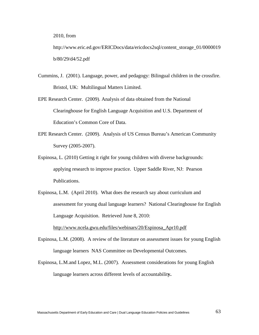2010, from

http://www.eric.ed.gov/ERICDocs/data/ericdocs2sql/content\_storage\_01/0000019 b/80/29/d4/52.pdf

Cummins, J. (2001). Language, power, and pedagogy: Bilingual children in the crossfire. Bristol, UK: Multilingual Matters Limited.

- EPE Research Center. (2009). Analysis of data obtained from the National Clearinghouse for English Language Acquisition and U.S. Department of Education's Common Core of Data.
- EPE Research Center. (2009). Analysis of US Census Bureau's American Community Survey (2005-2007).
- Espinosa, L. (2010) Getting it right for young children with diverse backgrounds: applying research to improve practice. Upper Saddle River, NJ: Pearson Publications.
- Espinosa, L.M. (April 2010). What does the research say about curriculum and assessment for young dual language learners? National Clearinghouse for English Language Acquisition. Retrieved June 8, 2010:

[http://www.ncela.gwu.edu/files/webinars/20/Espinosa\\_Apr10.pdf](http://www.ncela.gwu.edu/files/webinars/20/Espinosa_Apr10.pdf)

- Espinosa, L.M. (2008). A review of the literature on assessment issues for young English language learners NAS Committee on Developmental Outcomes.
- Espinosa, L.M.and Lopez, M.L. (2007). Assessment considerations for young English language learners across different levels of accountabilit**y.**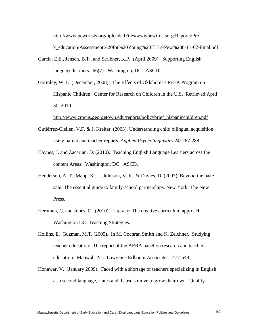http://www.pewtrusts.org/uploadedFiles/wwwpewtrustsorg/Reports/Prek\_education/Assessment%20for%20Young%20ELLs-Pew%208-11-07-Final.pdf

- García, E.E., Jensen, B.T., and Scribner, K.P. (April 2009). Supporting English language learners. 66(7). Washington, DC: ASCD.
- Gormley, W.T. (December, 2008). The Effects of Oklahoma's Pre-K Program on Hispanic Children. Center for Research on Children in the U.S. Retrieved April 30, 2010:

[http://www.crocus.georgetown.edu/reports/policybrief\\_hispanicchildren.pdf](http://www.crocus.georgetown.edu/reports/policybrief_hispanicchildren.pdf)

- Gutiérrez-Clellen, V.F. & J. Kreiter. (2003). Understanding child bilingual acquisition using parent and teacher reports. *Applied Psycholinguistics* 24: 267-288.
- Haynes, J. and Zacarian, D. (2010). Teaching English Language Learners across the content Areas. Washington, DC: ASCD.
- Henderson, A. T., Mapp, K. L., Johnson, V. R., & Davies, D. (2007). Beyond the bake sale: The essential guide to family-school partnerships. New York: The New Press.
- Heroman, C. and Jones, C. (2010). Literacy: The creative curriculum approach, Washington DC: Teaching Strategies.
- Hollins, E. Guzman, M.T. (2005). In M. Cochran Smith and K. Zeichner. Studying teacher education: The report of the AERA panel on research and teacher education. Mahwah, NJ: Lawrence Erlbaum Associates. 477-548.
- Honawar, V. (January 2009). Faced with a shortage of teachers specializing in English as a second language, states and districts move to grow their own. Quality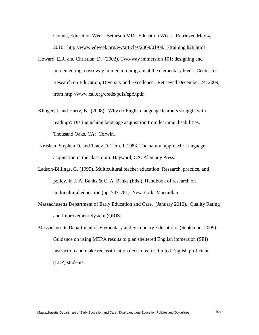Counts, Education Week. Bethesda MD: Education Week. Retrieved May 4, 2010: <http://www.edweek.org/ew/articles/2009/01/08/17training.h28.html>

- Howard, E.R. and Christian, D. (2002). Two-way immersion 101: designing and implementing a two-way immersion program at the elementary level. Center for Research on Education, Diversity and Excellence. Retrieved December 24, 2009, from http://www.cal.org/crede/pdfs/epr9.pdf
- Klinger, J, and Harry, B. (2008). Why do English language learners struggle with reading?: Distinguishing language acquisition from learning disabilities. Thousand Oaks, CA: Corwin.
- Krashen, Stephen D. and Tracy D. Terrell. 1983. The natural approach: Language acquisition in the classroom. Hayward, CA: Alemany Press.
- Ladson-Billings, G. (1995). Multicultural teacher education: Research, practice, and policy. In J. A. Banks & C. A. Banks (Eds.), Handbook of research on multicultural education (pp. 747-761). New York: Macmillan.
- Massachusetts Department of Early Education and Care. (January 2010). Quality Rating and Improvement System (QRIS).
- Massachusetts Department of Elementary and Secondary Education. (September 2009). Guidance on using MEPA results to plan sheltered English immersion (SEI) instruction and make reclassification decisions for limited English proficient (LEP) students.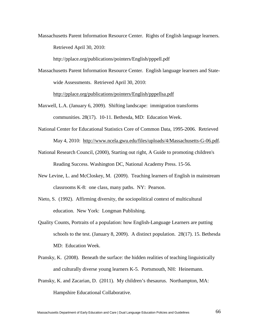Massachusetts Parent Information Resource Center. Rights of English language learners. Retrieved April 30, 2010:

http://pplace.org/publications/pointers/English/pppell.pdf

Massachusetts Parent Information Resource Center. English language learners and Statewide Assessments. Retrieved April 30, 2010:

<http://pplace.org/publications/pointers/English/pppellsa.pdf>

- Maxwell, L.A. (January 6, 2009). Shifting landscape: immigration transforms communities. 28(17). 10-11. Bethesda, MD: Education Week.
- National Center for Educational Statistics Core of Common Data, 1995-2006. Retrieved May 4, 2010: [http://www.ncela.gwu.edu/files/uploads/4/Massachusetts-G-06.pdf.](http://www.ncela.gwu.edu/files/uploads/4/Massachusetts-G-06.pdf)
- National Research Council, (2000), Starting out right, A Guide to promoting children's Reading Success. Washington DC, National Academy Press. 15-56.
- New Levine, L. and McCloskey, M. (2009). Teaching learners of English in mainstream classrooms K-8: one class, many paths. NY: Pearson.
- Nieto, S. (1992). Affirming diversity, the sociopolitical context of multicultural education. New York: Longman Publishing.
- Quality Counts, Portraits of a population: how English-Language Learners are putting schools to the test. (January 8, 2009). A distinct population. 28(17). 15. Bethesda MD: Education Week.
- Pransky, K. (2008). Beneath the surface: the hidden realities of teaching linguistically and culturally diverse young learners K-5. Portsmouth, NH: Heinemann.
- Pransky, K. and Zacarian, D. (2011). My children's thesaurus. Northampton, MA: Hampshire Educational Collaborative.